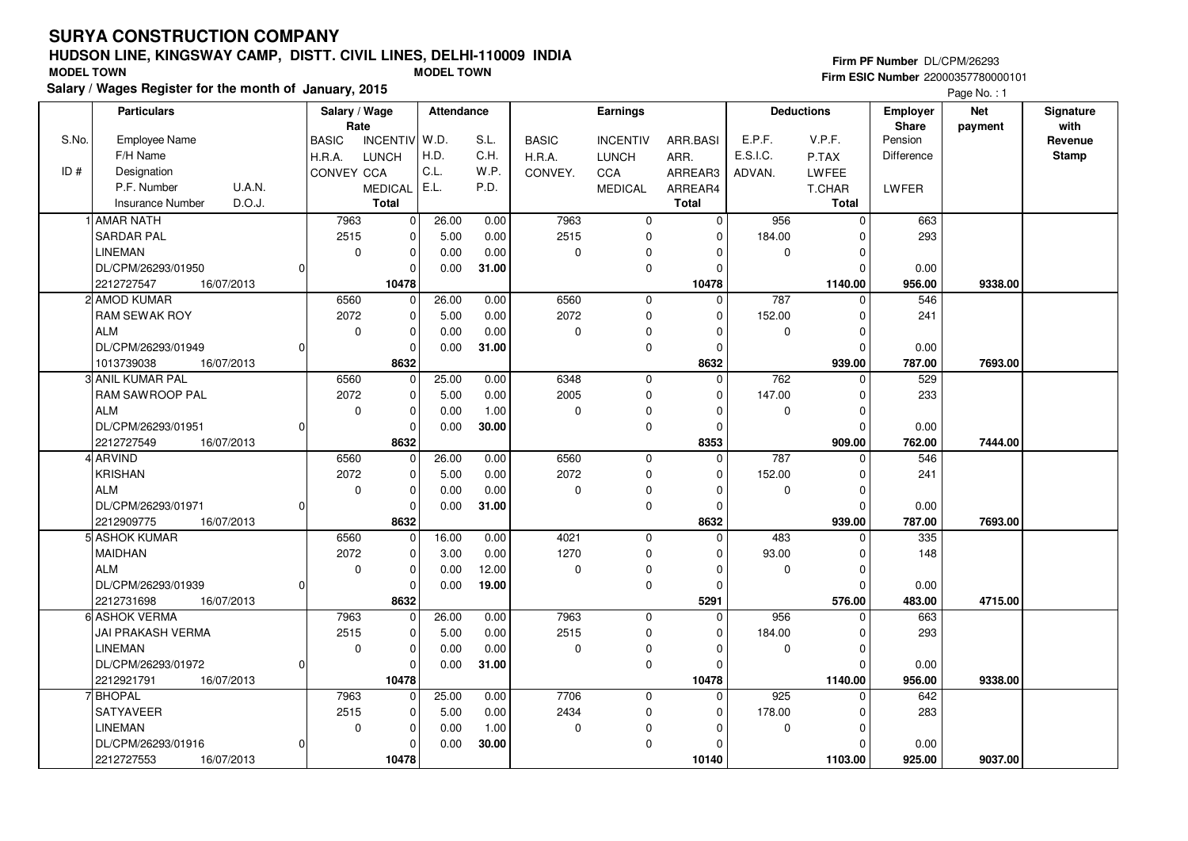## **HUDSON LINE, KINGSWAY CAMP, DISTT. CIVIL LINES, DELHI-110009 INDIA**

|       | הושטטוז בווזב, ומוזעטזורו טהוווי, טוט ו ו. טוזוב בווזבט, טבבווו ו וטטט |            |              |                |                   |       |              |                 |          |               |                   | Firm PF Number DL/CPM/26293 |                                           |                  |
|-------|------------------------------------------------------------------------|------------|--------------|----------------|-------------------|-------|--------------|-----------------|----------|---------------|-------------------|-----------------------------|-------------------------------------------|------------------|
|       | <b>MODEL TOWN</b>                                                      |            |              |                | <b>MODEL TOWN</b> |       |              |                 |          |               |                   |                             | <b>Firm ESIC Number 22000357780000101</b> |                  |
|       | Salary / Wages Register for the month of January, 2015                 |            |              |                |                   |       |              |                 |          |               |                   |                             | Page No.: 1                               |                  |
|       | <b>Particulars</b>                                                     |            |              | Salary / Wage  | Attendance        |       |              | <b>Earnings</b> |          |               | <b>Deductions</b> | <b>Employer</b>             | <b>Net</b>                                | <b>Signature</b> |
|       |                                                                        |            |              | Rate           |                   |       |              |                 |          |               |                   | Share                       | payment                                   | with             |
| S.No. | <b>Employee Name</b>                                                   |            | <b>BASIC</b> | INCENTIV W.D.  |                   | S.L.  | <b>BASIC</b> | <b>INCENTIV</b> | ARR.BASI | E.P.F.        | V.P.F.            | Pension                     |                                           | Revenue          |
|       | F/H Name                                                               |            | H.R.A.       | LUNCH          | H.D.              | C.H.  | H.R.A.       | LUNCH           | ARR.     | E.S.I.C.      | P.TAX             | <b>Difference</b>           |                                           | <b>Stamp</b>     |
| ID#   | Designation                                                            |            | CONVEY CCA   |                | l C.L.            | W.P.  | CONVEY.      | CCA             | ARREAR3  | ADVAN.        | LWFEE             |                             |                                           |                  |
|       | P.F. Number                                                            | U.A.N.     |              | MEDICAL   E.L. |                   | P.D.  |              | <b>MEDICAL</b>  | ARREAR4  |               | T.CHAR            | LWFER                       |                                           |                  |
|       | Insurance Number                                                       | D.O.J.     |              | Total          |                   |       |              |                 | Total    |               | Total             |                             |                                           |                  |
|       | IlAMAR NATH                                                            |            | 7963         |                | 26.00             | 0.00  | 7963         | $\Omega$        |          | 956           |                   | 663                         |                                           |                  |
|       | lSARDAR PAL                                                            |            | 2515         |                | 5.00              | 0.00  | 2515         | 0               |          | 184.00        |                   | 293                         |                                           |                  |
|       | LINEMAN                                                                |            |              |                | 0.00              | 0.00  | $\Omega$     | $\Omega$        |          | 0             |                   |                             |                                           |                  |
|       | DL/CPM/26293/01950                                                     |            |              |                | 0.00              | 31.00 |              | 0               |          |               |                   | 0.00                        |                                           |                  |
|       | 2212727547                                                             | 16/07/2013 |              | 10478          |                   |       |              |                 | 10478    |               | 1140.00           | 956.00                      | 9338.00                                   |                  |
|       | 2 AMOD KUMAR                                                           |            | 6560         |                | 26.00             | 0.00  | 6560         | 0               |          | 787           |                   | 546                         |                                           |                  |
|       | I DAM CEWAK DOV                                                        |            | 2072         |                | E OO              | 0.00  | 2072         | n.              |          | <b>152.00</b> |                   | 241                         |                                           |                  |

| 2212727547<br>16/07/2013       |          | 10478       |       |       |             |             | 10478        |          | 1140.00      | 956.00 | 9338.00 |  |
|--------------------------------|----------|-------------|-------|-------|-------------|-------------|--------------|----------|--------------|--------|---------|--|
| 2 AMOD KUMAR                   | 6560     | $\mathbf 0$ | 26.00 | 0.00  | 6560        | 0           | 0            | 787      | U            | 546    |         |  |
| <b>RAM SEWAK ROY</b>           | 2072     | $\mathbf 0$ | 5.00  | 0.00  | 2072        | 0           | <sup>0</sup> | 152.00   | 0            | 241    |         |  |
| l ALM                          | $\Omega$ | $\Omega$    | 0.00  | 0.00  | $\Omega$    | 0           | O            | $\Omega$ | 0            |        |         |  |
| DL/CPM/26293/01949<br>$\Omega$ |          |             | 0.00  | 31.00 |             | $\Omega$    | $\Omega$     |          | <sup>0</sup> | 0.00   |         |  |
| 1013739038<br>16/07/2013       |          | 8632        |       |       |             |             | 8632         |          | 939.00       | 787.00 | 7693.00 |  |
| 3 ANIL KUMAR PAL               | 6560     | $\mathbf 0$ | 25.00 | 0.00  | 6348        | $\Omega$    | $\Omega$     | 762      | 0            | 529    |         |  |
| <b>RAM SAWROOP PAL</b>         | 2072     | 0           | 5.00  | 0.00  | 2005        | $\Omega$    | <sup>0</sup> | 147.00   | 0            | 233    |         |  |
| l ALM                          | $\Omega$ | $\Omega$    | 0.00  | 1.00  | $\Omega$    | 0           | O            | O        | 0            |        |         |  |
| DL/CPM/26293/01951<br>$\Omega$ |          | $\Omega$    | 0.00  | 30.00 |             | 0           | $\Omega$     |          | <sup>0</sup> | 0.00   |         |  |
| 2212727549<br>16/07/2013       |          | 8632        |       |       |             |             | 8353         |          | 909.00       | 762.00 | 7444.00 |  |
| 4 ARVIND                       | 6560     | $\mathbf 0$ | 26.00 | 0.00  | 6560        | $\mathbf 0$ | $\Omega$     | 787      | U            | 546    |         |  |
| KRISHAN                        | 2072     | 0           | 5.00  | 0.00  | 2072        | 0           | $\Omega$     | 152.00   | 0            | 241    |         |  |
| l ALM                          | $\Omega$ | $\Omega$    | 0.00  | 0.00  | $\mathbf 0$ | 0           |              | O        | 0            |        |         |  |
| DL/CPM/26293/01971<br>$\Omega$ |          | $\Omega$    | 0.00  | 31.00 |             | $\Omega$    | $\Omega$     |          | O            | 0.00   |         |  |
| 2212909775<br>16/07/2013       |          | 8632        |       |       |             |             | 8632         |          | 939.00       | 787.00 | 7693.00 |  |
| 5 ASHOK KUMAR                  | 6560     | $\mathbf 0$ | 16.00 | 0.00  | 4021        | $\mathbf 0$ | $\Omega$     | 483      | 0            | 335    |         |  |
| <b>MAIDHAN</b>                 | 2072     | $\mathbf 0$ | 3.00  | 0.00  | 1270        | $\Omega$    | O            | 93.00    | 0            | 148    |         |  |
| ALM                            | $\Omega$ | $\Omega$    | 0.00  | 12.00 | $\mathbf 0$ | $\Omega$    |              | O        | 0            |        |         |  |
| DL/CPM/26293/01939<br>$\Omega$ |          | $\Omega$    | 0.00  | 19.00 |             | $\Omega$    | <sup>0</sup> |          | U            | 0.00   |         |  |
| 2212731698<br>16/07/2013       |          | 8632        |       |       |             |             | 5291         |          | 576.00       | 483.00 | 4715.00 |  |
| 6 ASHOK VERMA                  | 7963     | $\mathbf 0$ | 26.00 | 0.00  | 7963        | $\mathbf 0$ | $\Omega$     | 956      | 0            | 663    |         |  |
| IJAI PRAKASH VERMA             | 2515     | $\mathbf 0$ | 5.00  | 0.00  | 2515        | $\Omega$    | $\Omega$     | 184.00   | 0            | 293    |         |  |
| LINEMAN                        | $\Omega$ | $\Omega$    | 0.00  | 0.00  | $\Omega$    | $\Omega$    |              |          | 0            |        |         |  |
| DL/CPM/26293/01972<br>$\Omega$ |          | $\Omega$    | 0.00  | 31.00 |             | $\Omega$    | U            |          |              | 0.00   |         |  |
| 2212921791<br>16/07/2013       |          | 10478       |       |       |             |             | 10478        |          | 1140.00      | 956.00 | 9338.00 |  |
| 7 BHOPAL                       | 7963     | $\mathbf 0$ | 25.00 | 0.00  | 7706        | $\mathbf 0$ | $\Omega$     | 925      | 0            | 642    |         |  |
| <b>SATYAVEER</b>               | 2515     | $\mathbf 0$ | 5.00  | 0.00  | 2434        | 0           | $\Omega$     | 178.00   | 0            | 283    |         |  |
| LINEMAN                        | $\Omega$ | $\Omega$    | 0.00  | 1.00  | $\mathbf 0$ | $\Omega$    |              | $\Omega$ | 0            |        |         |  |
| DL/CPM/26293/01916<br>$\Omega$ |          | $\Omega$    | 0.00  | 30.00 |             | 0           |              |          |              | 0.00   |         |  |
| 2212727553<br>16/07/2013       |          | 10478       |       |       |             |             | 10140        |          | 1103.00      | 925.00 | 9037.00 |  |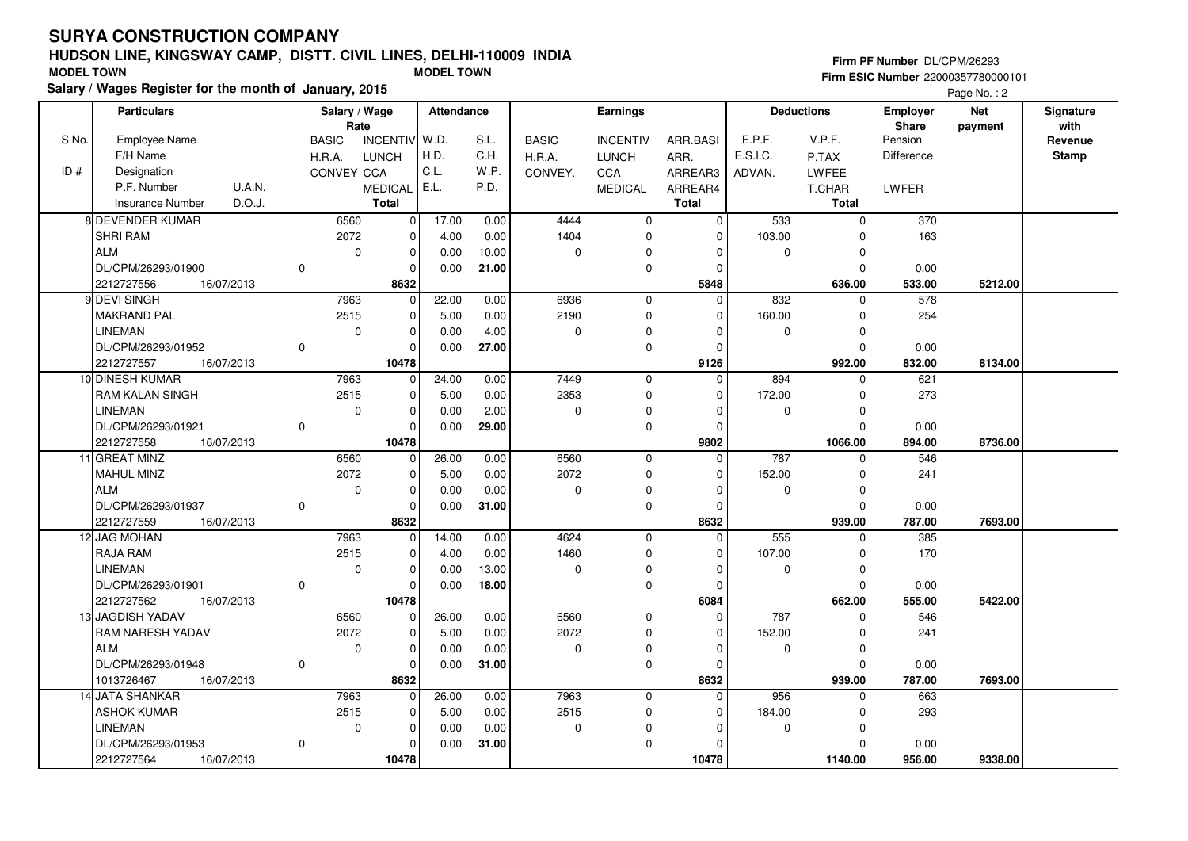**Particulars**

## **HUDSON LINE, KINGSWAY CAMP, DISTT. CIVIL LINES, DELHI-110009 INDIA**

#### **Salary / Wages Register for the month of January, 2015 MODEL TOWN MODEL TOWN** BASICH.R.A.CONVEYINCENTIVLUNCHCCAMEDICALARR.BASIARR.ARREAR3ARREAR4**TotalSalary / Wage RateAttendance Earnings**BASICH.R.A.CONVEY.INCENTIVLUNCHCCAMEDICAL**Total**ADVAN.P.TAXLWFEET.CHARE.P.F. V.P.F. E.S.I.C.**Total**PensionDifferenceLWFER**Deductions Employer Share**W.D.H.D.C.L.E.L.S.L.C.H.W.P.P.D.**Firm PF Number** DL/CPM/26293 **Firm ESIC Number** 22000357780000101**Net paymentSignaturewith**Page No.: 2 6560 $\overline{0}$  $\overline{0}$  4444 $\overline{0}$  533 0 37017.000.00

|       |                                   |                   | Rate                       |       |       |              |                 |             |              |              | <b>Share</b> | payment | with         |
|-------|-----------------------------------|-------------------|----------------------------|-------|-------|--------------|-----------------|-------------|--------------|--------------|--------------|---------|--------------|
| S.No. | <b>Employee Name</b>              | <b>BASIC</b>      | INCENTIV W.D.              |       | S.L.  | <b>BASIC</b> | <b>INCENTIV</b> | ARR.BASI    | E.P.F.       | V.P.F.       | Pension      |         | Revenue      |
|       | F/H Name                          | H.R.A.            | <b>LUNCH</b>               | H.D.  | C.H.  | H.R.A.       | <b>LUNCH</b>    | ARR.        | E.S.I.C.     | P.TAX        | Difference   |         | <b>Stamp</b> |
| ID#   | Designation                       | <b>CONVEY CCA</b> |                            | C.L.  | W.P.  | CONVEY.      | CCA             | ARREAR3     | ADVAN.       | <b>LWFEE</b> |              |         |              |
|       | U.A.N.<br>P.F. Number             |                   | <b>MEDICAL</b>             | E.L.  | P.D.  |              | <b>MEDICAL</b>  | ARREAR4     |              | T.CHAR       | <b>LWFER</b> |         |              |
|       | D.O.J.<br><b>Insurance Number</b> |                   | <b>Total</b>               |       |       |              |                 | Total       |              | <b>Total</b> |              |         |              |
|       | 8 DEVENDER KUMAR                  | 6560              | 0                          | 17.00 | 0.00  | 4444         | 0               | $\mathbf 0$ | 533          | 0            | 370          |         |              |
|       | <b>SHRI RAM</b>                   | 2072              | $\mathbf 0$                | 4.00  | 0.00  | 1404         | 0               | $\mathbf 0$ | 103.00       | 0            | 163          |         |              |
|       | ALM                               |                   | $\mathbf 0$<br>0           | 0.00  | 10.00 | $\mathbf 0$  | $\mathbf 0$     | $\mathbf 0$ | $\Omega$     | 0            |              |         |              |
|       | DL/CPM/26293/01900                | $\Omega$          | $\Omega$                   | 0.00  | 21.00 |              | 0               | $\Omega$    |              | 0            | 0.00         |         |              |
|       | 16/07/2013<br>2212727556          |                   | 8632                       |       |       |              |                 | 5848        |              | 636.00       | 533.00       | 5212.00 |              |
|       | 9 DEVI SINGH                      | 7963              | $\Omega$                   | 22.00 | 0.00  | 6936         | $\mathbf 0$     | $\Omega$    | 832          | $\Omega$     | 578          |         |              |
|       | <b>MAKRAND PAL</b>                | 2515              | $\mathbf 0$                | 5.00  | 0.00  | 2190         | $\mathbf 0$     | $\mathbf 0$ | 160.00       | $\mathbf 0$  | 254          |         |              |
|       | <b>LINEMAN</b>                    |                   | $\mathbf 0$<br>$\mathbf 0$ | 0.00  | 4.00  | $\mathbf 0$  | $\mathbf 0$     | $\mathbf 0$ | $\Omega$     | 0            |              |         |              |
|       | DL/CPM/26293/01952                | $\Omega$          | 0                          | 0.00  | 27.00 |              | $\mathbf 0$     | $\Omega$    |              | $\mathbf 0$  | 0.00         |         |              |
|       | 2212727557<br>16/07/2013          |                   | 10478                      |       |       |              |                 | 9126        |              | 992.00       | 832.00       | 8134.00 |              |
|       | 10 DINESH KUMAR                   | 7963              | $\Omega$                   | 24.00 | 0.00  | 7449         | $\mathbf 0$     | $\mathbf 0$ | 894          | $\Omega$     | 621          |         |              |
|       | <b>RAM KALAN SINGH</b>            | 2515              | 0                          | 5.00  | 0.00  | 2353         | 0               | $\mathbf 0$ | 172.00       | $\pmb{0}$    | 273          |         |              |
|       | <b>LINEMAN</b>                    |                   | $\mathbf 0$<br>$\mathbf 0$ | 0.00  | 2.00  | $\mathbf 0$  | 0               | $\mathbf 0$ | $\Omega$     | 0            |              |         |              |
|       | DL/CPM/26293/01921                | $\Omega$          | $\mathbf 0$                | 0.00  | 29.00 |              | 0               | $\mathbf 0$ |              | $\Omega$     | 0.00         |         |              |
|       | 2212727558<br>16/07/2013          |                   | 10478                      |       |       |              |                 | 9802        |              | 1066.00      | 894.00       | 8736.00 |              |
|       | 11 GREAT MINZ                     | 6560              | 0                          | 26.00 | 0.00  | 6560         | 0               | $\mathbf 0$ | 787          | $\Omega$     | 546          |         |              |
|       | <b>MAHUL MINZ</b>                 | 2072              | 0                          | 5.00  | 0.00  | 2072         | 0               | $\mathbf 0$ | 152.00       | 0            | 241          |         |              |
|       | ALM                               |                   | $\mathbf 0$<br>0           | 0.00  | 0.00  | $\mathbf 0$  | $\mathbf 0$     | $\mathbf 0$ | $\mathbf{0}$ | 0            |              |         |              |
|       | DL/CPM/26293/01937                | $\overline{0}$    | 0                          | 0.00  | 31.00 |              | 0               | $\mathbf 0$ |              | $\mathbf 0$  | 0.00         |         |              |
|       | 2212727559<br>16/07/2013          |                   | 8632                       |       |       |              |                 | 8632        |              | 939.00       | 787.00       | 7693.00 |              |
|       | 12 JAG MOHAN                      | 7963              | $\Omega$                   | 14.00 | 0.00  | 4624         | $\Omega$        | $\mathbf 0$ | 555          | $\Omega$     | 385          |         |              |
|       | <b>RAJA RAM</b>                   | 2515              | 0                          | 4.00  | 0.00  | 1460         | $\mathbf 0$     | $\Omega$    | 107.00       | $\mathbf 0$  | 170          |         |              |
|       | <b>LINEMAN</b>                    |                   | $\mathbf 0$<br>$\mathbf 0$ | 0.00  | 13.00 | $\mathbf 0$  | $\mathbf 0$     | $\mathbf 0$ | $\Omega$     | $\mathbf 0$  |              |         |              |
|       | DL/CPM/26293/01901                | $\Omega$          | 0                          | 0.00  | 18.00 |              | $\mathbf 0$     | $\mathbf 0$ |              | $\mathbf 0$  | 0.00         |         |              |
|       | 2212727562<br>16/07/2013          |                   | 10478                      |       |       |              |                 | 6084        |              | 662.00       | 555.00       | 5422.00 |              |
|       | 13 JAGDISH YADAV                  | 6560              | $\overline{0}$             | 26.00 | 0.00  | 6560         | $\mathbf 0$     | $\mathbf 0$ | 787          | $\Omega$     | 546          |         |              |
|       | <b>RAM NARESH YADAV</b>           | 2072              | 0                          | 5.00  | 0.00  | 2072         | $\mathbf 0$     | $\mathbf 0$ | 152.00       | $\mathbf 0$  | 241          |         |              |
|       | <b>ALM</b>                        |                   | $\mathbf 0$<br>0           | 0.00  | 0.00  | $\mathbf 0$  | 0               | $\mathbf 0$ | $\Omega$     | 0            |              |         |              |
|       | DL/CPM/26293/01948                | $\Omega$          | $\mathbf{0}$               | 0.00  | 31.00 |              | 0               | $\mathbf 0$ |              | $\mathbf 0$  | 0.00         |         |              |
|       | 1013726467<br>16/07/2013          |                   | 8632                       |       |       |              |                 | 8632        |              | 939.00       | 787.00       | 7693.00 |              |
|       | 14 JATA SHANKAR                   | 7963              | $\overline{0}$             | 26.00 | 0.00  | 7963         | $\mathbf{0}$    | $\mathbf 0$ | 956          | $\mathbf 0$  | 663          |         |              |
|       | <b>ASHOK KUMAR</b>                | 2515              | $\mathbf 0$                | 5.00  | 0.00  | 2515         | 0               | $\mathbf 0$ | 184.00       | $\pmb{0}$    | 293          |         |              |
|       | <b>LINEMAN</b>                    |                   | $\mathbf 0$<br>$\mathbf 0$ | 0.00  | 0.00  | $\mathbf 0$  | 0               | $\mathbf 0$ | $\Omega$     | $\mathbf 0$  |              |         |              |
|       | DL/CPM/26293/01953                | $\Omega$          | $\overline{0}$             | 0.00  | 31.00 |              | 0               | $\mathbf 0$ |              | $\Omega$     | 0.00         |         |              |
|       | 2212727564<br>16/07/2013          |                   | 10478                      |       |       |              |                 | 10478       |              | 1140.00      | 956.00       | 9338.00 |              |
|       |                                   |                   |                            |       |       |              |                 |             |              |              |              |         |              |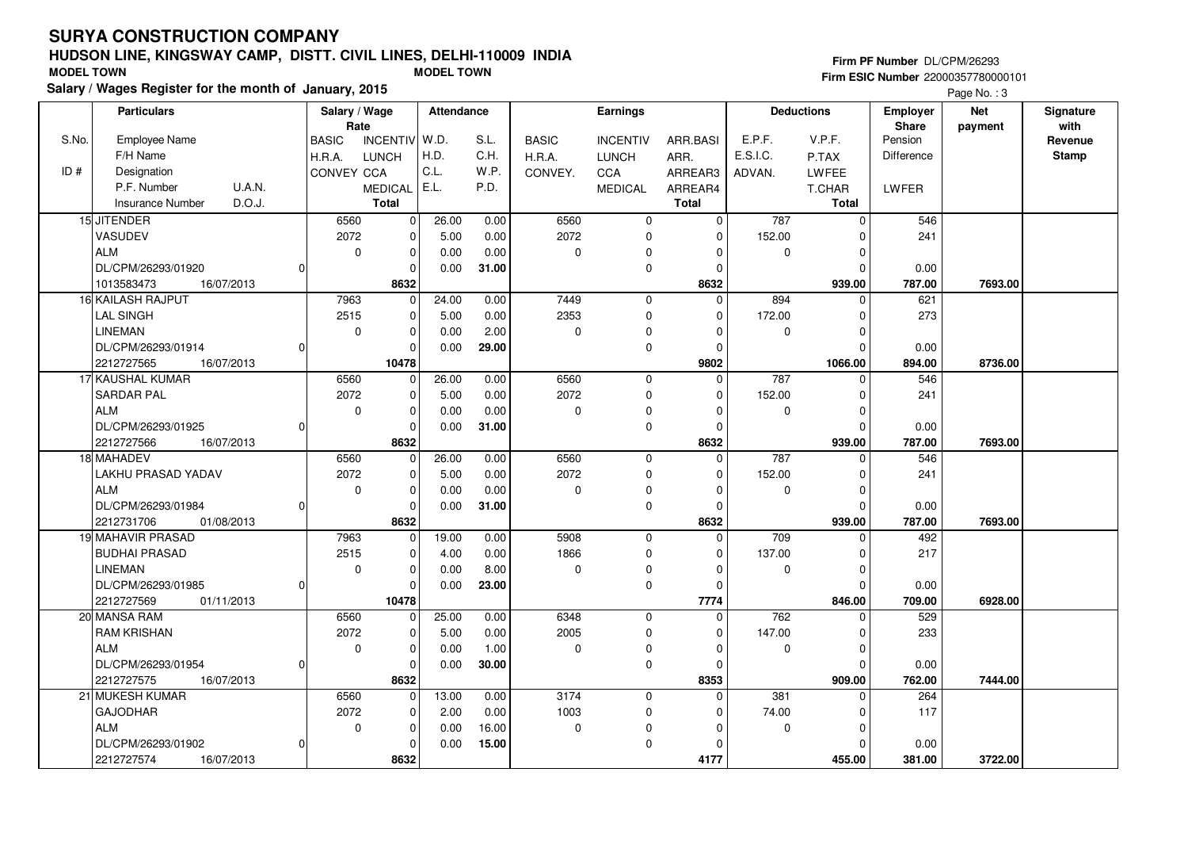ALM

2212727575 **8632**

2212727574 **8632**

<sup>21</sup> MUKESH KUMARGAJODHARALM

DL/CPM/26293/01954

DL/CPM/26293/01902

16/07/2013

16/07/2013

#### **HUDSON LINE, KINGSWAY CAMP, DISTT. CIVIL LINES, DELHI-110009 INDIAFirm ESIC Number** 22000357780000101 **MODEL TOWN MODEL TOWN**

 $\overline{0}$ 

 6560 2072 $\overline{0}$ 

0

 $\Omega$ 

 $\overline{0}$  $\overline{0}$ 8632  0.000.00

13.00 2.00 0.000.00

 1.00**30.00**

 0.00 0.00 16.00**15.00**

 $\overline{0}$ 

 $\overline{0}$  $\overline{0}$  $\overline{0}$ 8632

**Salary / Wages Register for the month of**

|       | lary / Wages Register for the month of January, 2015 |   |                       |               |            |       |              |                 |              |          |                   |                                 | Page No.: 3           |                   |
|-------|------------------------------------------------------|---|-----------------------|---------------|------------|-------|--------------|-----------------|--------------|----------|-------------------|---------------------------------|-----------------------|-------------------|
|       | <b>Particulars</b>                                   |   | Salary / Wage<br>Rate |               | Attendance |       |              | <b>Earnings</b> |              |          | <b>Deductions</b> | <b>Employer</b><br><b>Share</b> | <b>Net</b><br>payment | Signature<br>with |
| S.No. | <b>Employee Name</b>                                 |   | <b>BASIC</b>          | INCENTIV W.D. |            | S.L.  | <b>BASIC</b> | <b>INCENTIV</b> | ARR.BASI     | E.P.F.   | V.P.F.            | Pension                         |                       | Revenue           |
|       | F/H Name                                             |   | H.R.A.                | <b>LUNCH</b>  | H.D.       | C.H.  | H.R.A.       | <b>LUNCH</b>    | ARR.         | E.S.I.C. | P.TAX             | Difference                      |                       | <b>Stamp</b>      |
| ID#   | Designation                                          |   | <b>CONVEY CCA</b>     |               | C.L.       | W.P.  | CONVEY.      | <b>CCA</b>      | ARREAR3      | ADVAN.   | LWFEE             |                                 |                       |                   |
|       | U.A.N.<br>P.F. Number                                |   |                       | MEDICAL E.L.  |            | P.D.  |              | <b>MEDICAL</b>  | ARREAR4      |          | T.CHAR            | LWFER                           |                       |                   |
|       | D.O.J.<br><b>Insurance Number</b>                    |   |                       | <b>Total</b>  |            |       |              |                 | <b>Total</b> |          | <b>Total</b>      |                                 |                       |                   |
|       | 15 JITENDER                                          |   | 6560                  | $\Omega$      | 26.00      | 0.00  | 6560         | 0               | 0            | 787      | $\Omega$          | 546                             |                       |                   |
|       | <b>VASUDEV</b>                                       |   | 2072                  | $\Omega$      | 5.00       | 0.00  | 2072         | 0               | 0            | 152.00   |                   | 241                             |                       |                   |
|       | <b>ALM</b>                                           |   | $\Omega$              | $\Omega$      | 0.00       | 0.00  | $\Omega$     | $\Omega$        |              | 0        |                   |                                 |                       |                   |
|       | DL/CPM/26293/01920                                   | ŋ |                       |               | 0.00       | 31.00 |              | $\Omega$        |              |          |                   | 0.00                            |                       |                   |
|       | 1013583473<br>16/07/2013                             |   |                       | 8632          |            |       |              |                 | 8632         |          | 939.00            | 787.00                          | 7693.00               |                   |
|       | 16 KAILASH RAJPUT                                    |   | 7963                  | $\Omega$      | 24.00      | 0.00  | 7449         | 0               | 0            | 894      |                   | 621                             |                       |                   |
|       | <b>LAL SINGH</b>                                     |   | 2515                  | $\Omega$      | 5.00       | 0.00  | 2353         | $\Omega$        | 0            | 172.00   |                   | 273                             |                       |                   |
|       | LINEMAN                                              |   | $\Omega$              | $\Omega$      | 0.00       | 2.00  | $\mathbf 0$  | $\Omega$        | $\Omega$     | $\Omega$ |                   |                                 |                       |                   |
|       | DL/CPM/26293/01914                                   |   |                       | $\Omega$      | 0.00       | 29.00 |              | 0               | O            |          |                   | 0.00                            |                       |                   |
|       | 2212727565<br>16/07/2013                             |   |                       | 10478         |            |       |              |                 | 9802         |          | 1066.00           | 894.00                          | 8736.00               |                   |
|       | 17 KAUSHAL KUMAR                                     |   | 6560                  | $\Omega$      | 26.00      | 0.00  | 6560         | 0               | 0            | 787      | $\Omega$          | 546                             |                       |                   |
|       | <b>SARDAR PAL</b>                                    |   | 2072                  | $\Omega$      | 5.00       | 0.00  | 2072         | 0               | 0            | 152.00   |                   | 241                             |                       |                   |
|       | <b>ALM</b>                                           |   | $\Omega$              | $\Omega$      | 0.00       | 0.00  | 0            | $\Omega$        | n            | $\Omega$ |                   |                                 |                       |                   |
|       | DL/CPM/26293/01925                                   |   |                       |               | 0.00       | 31.00 |              | $\Omega$        | O            |          |                   | 0.00                            |                       |                   |
|       | 2212727566<br>16/07/2013                             |   |                       | 8632          |            |       |              |                 | 8632         |          | 939.00            | 787.00                          | 7693.00               |                   |
|       | 18 MAHADEV                                           |   | 6560                  | $\Omega$      | 26.00      | 0.00  | 6560         | $\Omega$        | 0            | 787      | $\Omega$          | 546                             |                       |                   |
|       | LAKHU PRASAD YADAV                                   |   | 2072                  | $\Omega$      | 5.00       | 0.00  | 2072         | 0               | $\Omega$     | 152.00   |                   | 241                             |                       |                   |
|       | <b>ALM</b>                                           |   | 0                     | $\mathbf 0$   | 0.00       | 0.00  | 0            | 0               | 0            | 0        |                   |                                 |                       |                   |
|       | DL/CPM/26293/01984                                   |   |                       | $\Omega$      | 0.00       | 31.00 |              | 0               | U            |          |                   | 0.00                            |                       |                   |
|       | 2212731706<br>01/08/2013                             |   |                       | 8632          |            |       |              |                 | 8632         |          | 939.00            | 787.00                          | 7693.00               |                   |
|       | 19 MAHAVIR PRASAD                                    |   | 7963                  | $\Omega$      | 19.00      | 0.00  | 5908         | 0               | $\Omega$     | 709      |                   | 492                             |                       |                   |
|       | <b>BUDHAI PRASAD</b>                                 |   | 2515                  | $\Omega$      | 4.00       | 0.00  | 1866         | 0               | $\Omega$     | 137.00   |                   | 217                             |                       |                   |
|       | LINEMAN                                              |   | $\Omega$              | $\Omega$      | 0.00       | 8.00  | 0            | $\Omega$        | ŋ            | $\Omega$ |                   |                                 |                       |                   |
|       | DL/CPM/26293/01985                                   | 0 |                       | $\Omega$      | 0.00       | 23.00 |              | 0               | O            |          |                   | 0.00                            |                       |                   |
|       | 2212727569<br>01/11/2013                             |   |                       | 10478         |            |       |              |                 | 7774         |          | 846.00            | 709.00                          | 6928.00               |                   |
|       | 20 MANSA RAM                                         |   | 6560                  | $\Omega$      | 25.00      | 0.00  | 6348         | 0               | 0            | 762      |                   | 529                             |                       |                   |
|       | <b>RAM KRISHAN</b>                                   |   | 2072                  | $\Omega$      | 5.00       | 0.00  | 2005         | 0               | 0            | 147.00   |                   | 233                             |                       |                   |

 $\overline{0}$ 

16/07/2013 **762.00**

 3174 1003 $\overline{0}$ 

16/07/2013 **381.00**

 $\overline{0}$  $\overline{0}$   **8353** $\overline{0}$ 

 $\overline{0}$  $\overline{0}$  $\overline{0}$  **4177**  $\overline{0}$ 

 74.00 $\overline{0}$ 

 $\overline{0}$  $\overline{0}$ 909.00

 $\overline{0}$ 

 $\overline{0}$  $\overline{0}$ 455.00

 $\overline{381}$  0

 0.00762.00

264

117

 0.00381.00

 **909.00 7444.00**

 **455.00 3722.00**

 $\overline{0}$  $\overline{0}$ 

 $\overline{0}$  $\overline{0}$  $\overline{0}$  $\overline{0}$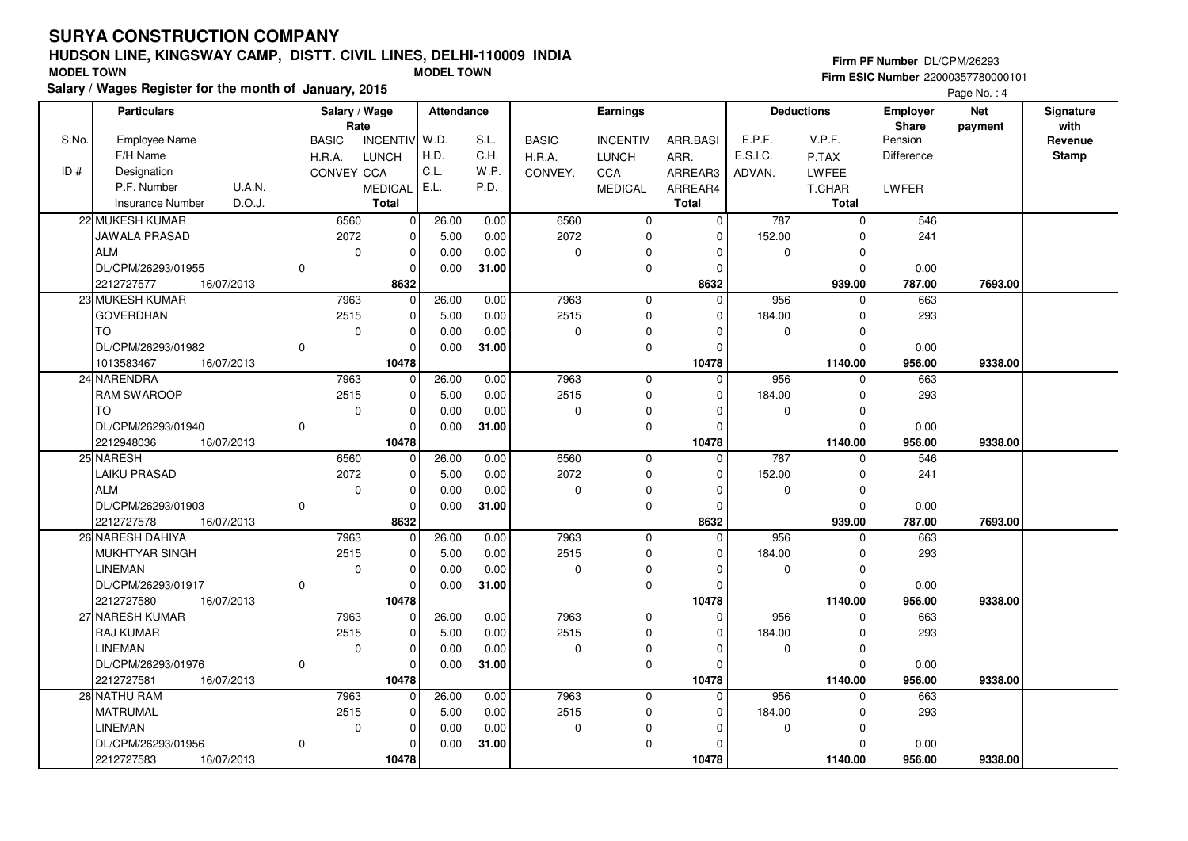## **HUDSON LINE, KINGSWAY CAMP, DISTT. CIVIL LINES, DELHI-110009 INDIA**

10478

 $\overline{0}$ 

26.00 5.00 0.000.00

 0.00 0.00 0.00**31.00**

 $\overline{0}$  $\overline{0}$  $\overline{0}$ 10478

 7963 2515 $\overline{0}$ 

 $\Omega$ 

2212727581 **10478**

16/07/2013

28 NATHU RAM MATRUMALLINEMAN

2212727583 **10478**

DL/CPM/26293/01956

| <b>MODEL TOWN</b> |                                                        |                |               |                | <b>MODEL TOWN</b> |       |              |                 |              |          |                   |                 | Firm ESIC Number 22000357780000101 |              |
|-------------------|--------------------------------------------------------|----------------|---------------|----------------|-------------------|-------|--------------|-----------------|--------------|----------|-------------------|-----------------|------------------------------------|--------------|
|                   | Salary / Wages Register for the month of January, 2015 |                |               |                |                   |       |              |                 |              |          |                   |                 | Page No.: 4                        |              |
|                   | <b>Particulars</b>                                     |                | Salary / Wage |                | Attendance        |       |              | Earnings        |              |          | <b>Deductions</b> | <b>Employer</b> | <b>Net</b>                         | Signature    |
|                   |                                                        |                | Rate          |                |                   |       |              |                 |              |          |                   | <b>Share</b>    | payment                            | with         |
| S.No.             | <b>Employee Name</b>                                   |                | <b>BASIC</b>  | INCENTIV W.D.  |                   | S.L.  | <b>BASIC</b> | <b>INCENTIV</b> | ARR.BASI     | E.P.F.   | V.P.F.            | Pension         |                                    | Revenue      |
|                   | F/H Name                                               |                | H.R.A.        | <b>LUNCH</b>   | H.D.              | C.H.  | H.R.A.       | <b>LUNCH</b>    | ARR.         | E.S.I.C. | P.TAX             | Difference      |                                    | <b>Stamp</b> |
| ID#               | Designation                                            |                | CONVEY CCA    |                | C.L.              | W.P.  | CONVEY.      | CCA             | ARREAR3      | ADVAN.   | LWFEE             |                 |                                    |              |
|                   | U.A.N.<br>P.F. Number                                  |                |               | <b>MEDICAL</b> | E.L.              | P.D.  |              | <b>MEDICAL</b>  | ARREAR4      |          | T.CHAR            | <b>LWFER</b>    |                                    |              |
|                   | D.O.J.<br><b>Insurance Number</b>                      |                |               | <b>Total</b>   |                   |       |              |                 | <b>Total</b> |          | <b>Total</b>      |                 |                                    |              |
|                   | 22 MUKESH KUMAR                                        |                | 6560          | $\overline{0}$ | 26.00             | 0.00  | 6560         | $\mathbf 0$     | $\mathbf 0$  | 787      | $\Omega$          | 546             |                                    |              |
|                   | <b>JAWALA PRASAD</b>                                   |                | 2072          | $\Omega$       | 5.00              | 0.00  | 2072         | $\Omega$        | 0            | 152.00   |                   | 241             |                                    |              |
|                   | <b>ALM</b>                                             |                | $\mathbf 0$   | $\Omega$       | 0.00              | 0.00  | $\Omega$     | $\Omega$        | $\Omega$     | $\Omega$ |                   |                 |                                    |              |
|                   | DL/CPM/26293/01955                                     | $\Omega$       |               |                | 0.00              | 31.00 |              | $\Omega$        | $\Omega$     |          |                   | 0.00            |                                    |              |
|                   | 2212727577<br>16/07/2013                               |                |               | 8632           |                   |       |              |                 | 8632         |          | 939.00            | 787.00          | 7693.00                            |              |
|                   | 23 MUKESH KUMAR                                        |                | 7963          | $\Omega$       | 26.00             | 0.00  | 7963         | $\Omega$        | $\Omega$     | 956      |                   | 663             |                                    |              |
|                   | <b>GOVERDHAN</b>                                       |                | 2515          |                | 5.00              | 0.00  | 2515         | 0               | $\mathbf 0$  | 184.00   |                   | 293             |                                    |              |
|                   | <b>TO</b>                                              |                | 0             | $\Omega$       | 0.00              | 0.00  | $\Omega$     |                 | $\Omega$     | $\Omega$ |                   |                 |                                    |              |
|                   | DL/CPM/26293/01982                                     | O              |               |                | 0.00              | 31.00 |              | $\Omega$        | $\cap$       |          |                   | 0.00            |                                    |              |
|                   | 1013583467<br>16/07/2013                               |                |               | 10478          |                   |       |              |                 | 10478        |          | 1140.00           | 956.00          | 9338.00                            |              |
|                   | 24 NARENDRA                                            |                | 7963          | $\Omega$       | 26.00             | 0.00  | 7963         | $\Omega$        | $\Omega$     | 956      |                   | 663             |                                    |              |
|                   | <b>RAM SWAROOP</b>                                     |                | 2515          | $\Omega$       | 5.00              | 0.00  | 2515         | $\Omega$        | $\Omega$     | 184.00   |                   | 293             |                                    |              |
|                   | <b>TO</b>                                              |                | 0             | $\Omega$       | 0.00              | 0.00  | $\Omega$     | $\Omega$        | $\Omega$     | $\Omega$ |                   |                 |                                    |              |
|                   | DL/CPM/26293/01940                                     | $\Omega$       |               |                | 0.00              | 31.00 |              | $\Omega$        | $\cap$       |          |                   | 0.00            |                                    |              |
|                   | 16/07/2013<br>2212948036                               |                |               | 10478          |                   |       |              |                 | 10478        |          | 1140.00           | 956.00          | 9338.00                            |              |
|                   | 25 NARESH                                              |                | 6560          | $\Omega$       | 26.00             | 0.00  | 6560         | $\Omega$        | $\Omega$     | 787      | $\Omega$          | 546             |                                    |              |
|                   | <b>LAIKU PRASAD</b>                                    |                | 2072          | $\Omega$       | 5.00              | 0.00  | 2072         | <sup>0</sup>    | $\Omega$     | 152.00   |                   | 241             |                                    |              |
|                   | <b>ALM</b>                                             |                | $\mathbf 0$   | $\Omega$       | 0.00              | 0.00  | $\Omega$     | $\Omega$        | $\mathbf 0$  | $\Omega$ |                   |                 |                                    |              |
|                   | DL/CPM/26293/01903                                     | $\Omega$       |               |                | 0.00              | 31.00 |              | $\Omega$        | $\Omega$     |          |                   | 0.00            |                                    |              |
|                   | 2212727578<br>16/07/2013                               |                |               | 8632           |                   |       |              |                 | 8632         |          | 939.00            | 787.00          | 7693.00                            |              |
|                   | 26 NARESH DAHIYA                                       |                | 7963          | $\Omega$       | 26.00             | 0.00  | 7963         | $\Omega$        | $\Omega$     | 956      | $\Omega$          | 663             |                                    |              |
|                   | MUKHTYAR SINGH                                         |                | 2515          | $\Omega$       | 5.00              | 0.00  | 2515         | <sup>0</sup>    | $\mathbf 0$  | 184.00   |                   | 293             |                                    |              |
|                   | LINEMAN                                                |                | $\Omega$      | $\Omega$       | 0.00              | 0.00  | $\Omega$     | $\Omega$        | $\Omega$     | $\Omega$ |                   |                 |                                    |              |
|                   | DL/CPM/26293/01917                                     | $\Omega$       |               |                | 0.00              | 31.00 |              | $\Omega$        | $\Omega$     |          |                   | 0.00            |                                    |              |
|                   | 2212727580<br>16/07/2013                               |                |               | 10478          |                   |       |              |                 | 10478        |          | 1140.00           | 956.00          | 9338.00                            |              |
|                   | 27 NARESH KUMAR                                        |                | 7963          | $\Omega$       | 26.00             | 0.00  | 7963         | 0               | $\Omega$     | 956      | $\Omega$          | 663             |                                    |              |
|                   | <b>RAJ KUMAR</b>                                       |                | 2515          | $\Omega$       | 5.00              | 0.00  | 2515         | ŋ               | 0            | 184.00   |                   | 293             |                                    |              |
|                   | LINEMAN                                                |                | 0             |                | 0.00              | 0.00  | $\Omega$     |                 | $\Omega$     | 0        |                   |                 |                                    |              |
|                   | DL/CPM/26293/01976                                     | $\overline{0}$ |               | $\Omega$       | 0.00              | 31.00 |              |                 | $\Omega$     |          |                   | 0.00            |                                    |              |

16/07/2013 **956.00**

 7963 2515 $\overline{0}$ 

16/07/2013 **956.00**

  **10478** $\overline{0}$ 

 $\overline{0}$  $\overline{0}$  $\overline{0}$  $\overline{\phantom{0}}$ 

 $\overline{0}$  $\overline{0}$  $\overline{0}$  **10478**

**Firm PF Number** DL/CPM/26293 **Firm ESIC Number** 22000357780000101

 **1140.00 9338.00**

 **1140.00 9338.00**

956 0

 184.00 $\overline{0}$ 

 $\overline{\phantom{0}}$ 

 0 $\overline{0}$ 

956.00

663

293

 0.00956.00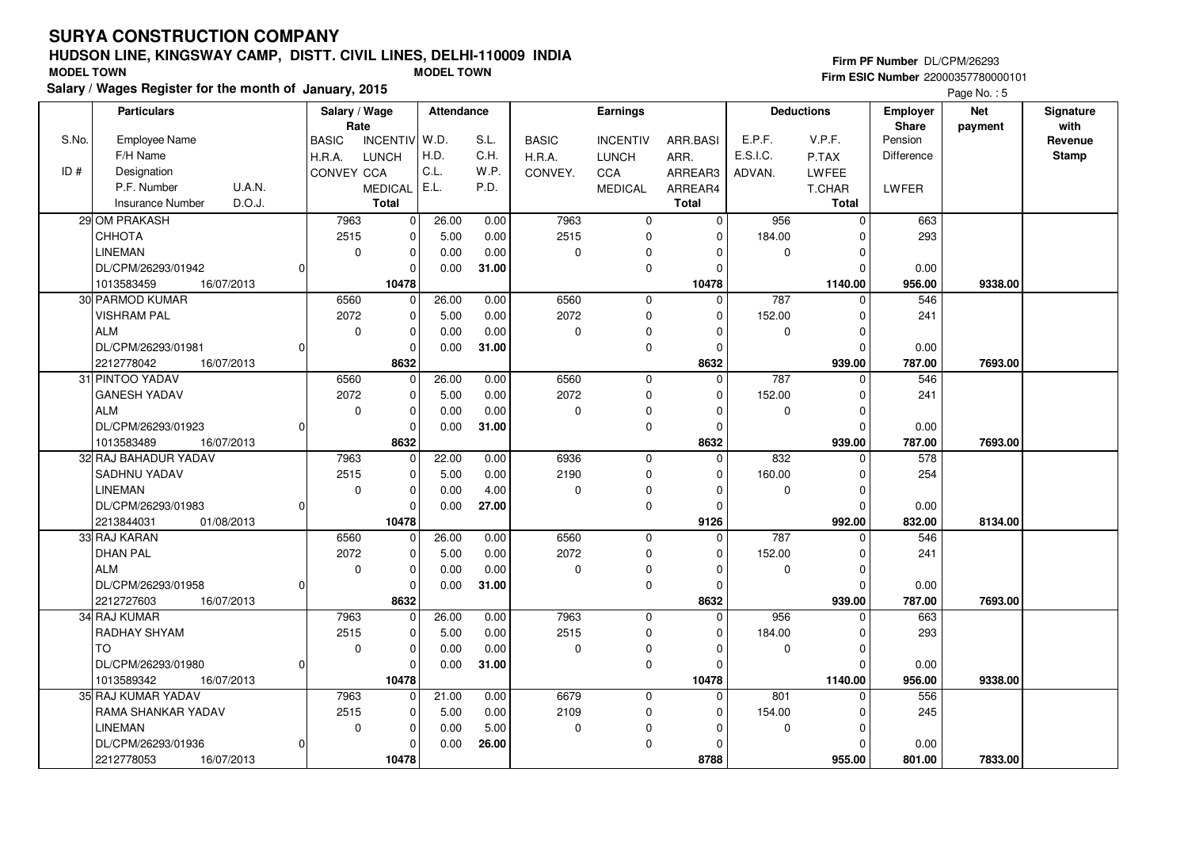RAMA SHANKAR YADAV

16/07/2013

DL/CPM/26293/01936

LINEMAN

2212778053 **10478**

## **HUDSON LINE, KINGSWAY CAMP, DISTT. CIVIL LINES, DELHI-110009 INDIA**

21.00 5.00 0.000.00

 0.00 0.00 5.00**26.00**

 $\overline{0}$  $\overline{0}$  $\overline{0}$ 10478

 7963 2515 $\overline{\phantom{0}}$ 

0

| <b>MODEL TOWN</b> | Salary / Wages Register for the month of January, 2015 |          |                        |                | <b>MODEL TOWN</b> |              |              |                 |              |          |                   |                         | Firm ESIC Number 22000357780000101 |                         |
|-------------------|--------------------------------------------------------|----------|------------------------|----------------|-------------------|--------------|--------------|-----------------|--------------|----------|-------------------|-------------------------|------------------------------------|-------------------------|
|                   |                                                        |          |                        |                |                   |              |              |                 |              |          |                   |                         | Page No.: 5                        |                         |
|                   | <b>Particulars</b>                                     |          | Salary / Wage          |                | <b>Attendance</b> |              |              | Earnings        |              |          | <b>Deductions</b> | <b>Employer</b>         | <b>Net</b>                         | Signature               |
| S.No.             | <b>Employee Name</b>                                   |          | Rate                   | INCENTIV W.D.  |                   | S.L.         | <b>BASIC</b> | <b>INCENTIV</b> | ARR.BASI     | E.P.F.   | V.P.F.            | <b>Share</b><br>Pension | payment                            | with                    |
|                   | F/H Name                                               |          | <b>BASIC</b><br>H.R.A. | <b>LUNCH</b>   | H.D.              | C.H.         | H.R.A.       | <b>LUNCH</b>    | ARR.         | E.S.I.C. | P.TAX             | Difference              |                                    | Revenue<br><b>Stamp</b> |
| ID#               | Designation                                            |          | CONVEY CCA             |                | C.L.              | W.P.         | CONVEY.      | CCA             | ARREAR3      | ADVAN.   | <b>LWFEE</b>      |                         |                                    |                         |
|                   | U.A.N.<br>P.F. Number                                  |          |                        | <b>MEDICAL</b> | E.L.              | P.D.         |              | <b>MEDICAL</b>  | ARREAR4      |          | T.CHAR            | LWFER                   |                                    |                         |
|                   | D.O.J.<br><b>Insurance Number</b>                      |          |                        | <b>Total</b>   |                   |              |              |                 | <b>Total</b> |          | <b>Total</b>      |                         |                                    |                         |
|                   | 29 OM PRAKASH                                          |          | 7963                   | $\overline{0}$ |                   |              | 7963         | $\mathbf 0$     | 0            | 956      | $\Omega$          | 663                     |                                    |                         |
|                   | СННОТА                                                 |          | 2515                   | $\Omega$       | 26.00<br>5.00     | 0.00<br>0.00 | 2515         | $\Omega$        | $\Omega$     | 184.00   |                   | 293                     |                                    |                         |
|                   | <b>LINEMAN</b>                                         |          | $\Omega$               |                | 0.00              | 0.00         | $\Omega$     | $\Omega$        | O            | $\Omega$ |                   |                         |                                    |                         |
|                   | DL/CPM/26293/01942                                     |          |                        | $\Omega$       | 0.00              | 31.00        |              | $\Omega$        | n            |          | $\Omega$          | 0.00                    |                                    |                         |
|                   | 16/07/2013<br>1013583459                               |          |                        | 10478          |                   |              |              |                 | 10478        |          | 1140.00           | 956.00                  | 9338.00                            |                         |
|                   | 30 PARMOD KUMAR                                        |          | 6560                   | $\Omega$       | 26.00             | 0.00         | 6560         | $\Omega$        | $\Omega$     | 787      |                   | 546                     |                                    |                         |
|                   | VISHRAM PAL                                            |          | 2072                   | $\Omega$       | 5.00              | 0.00         | 2072         | $\Omega$        | $\Omega$     | 152.00   |                   | 241                     |                                    |                         |
|                   | <b>ALM</b>                                             |          | 0                      | $\Omega$       | 0.00              | 0.00         | $\Omega$     | $\Omega$        | $\Omega$     | 0        |                   |                         |                                    |                         |
|                   | DL/CPM/26293/01981                                     |          |                        | $\Omega$       | 0.00              | 31.00        |              | $\Omega$        | ŋ            |          | <sup>0</sup>      | 0.00                    |                                    |                         |
|                   | 2212778042<br>16/07/2013                               |          |                        | 8632           |                   |              |              |                 | 8632         |          | 939.00            | 787.00                  | 7693.00                            |                         |
|                   | 31 PINTOO YADAV                                        |          | 6560                   | $\mathbf 0$    | 26.00             | 0.00         | 6560         | $\Omega$        | 0            | 787      |                   | 546                     |                                    |                         |
|                   | <b>GANESH YADAV</b>                                    |          | 2072                   |                | 5.00              | 0.00         | 2072         | $\Omega$        | $\Omega$     | 152.00   |                   | 241                     |                                    |                         |
|                   | <b>ALM</b>                                             |          | $\Omega$               | $\Omega$       | 0.00              | 0.00         | $\Omega$     | $\Omega$        | O            | $\Omega$ | ∩                 |                         |                                    |                         |
|                   | DL/CPM/26293/01923                                     |          |                        | $\Omega$       | 0.00              | 31.00        |              | $\Omega$        |              |          |                   | 0.00                    |                                    |                         |
|                   | 1013583489<br>16/07/2013                               |          |                        | 8632           |                   |              |              |                 | 8632         |          | 939.00            | 787.00                  | 7693.00                            |                         |
|                   | 32 RAJ BAHADUR YADAV                                   |          | 7963                   | $\Omega$       | 22.00             | 0.00         | 6936         | $\mathbf 0$     | $\Omega$     | 832      | $\Omega$          | 578                     |                                    |                         |
|                   | <b>SADHNU YADAV</b>                                    |          | 2515                   | 0              | 5.00              | 0.00         | 2190         | $\Omega$        | 0            | 160.00   | ∩                 | 254                     |                                    |                         |
|                   | <b>LINEMAN</b>                                         |          | 0                      | $\Omega$       | 0.00              | 4.00         | $\Omega$     | $\Omega$        | 0            | 0        | $\Omega$          |                         |                                    |                         |
|                   | DL/CPM/26293/01983                                     | $\Omega$ |                        | $\Omega$       | 0.00              | 27.00        |              | $\Omega$        | 0            |          | $\Omega$          | 0.00                    |                                    |                         |
|                   | 2213844031<br>01/08/2013                               |          |                        | 10478          |                   |              |              |                 | 9126         |          | 992.00            | 832.00                  | 8134.00                            |                         |
|                   | 33 RAJ KARAN                                           |          | 6560                   | $\mathbf 0$    | 26.00             | 0.00         | 6560         | $\Omega$        | $\Omega$     | 787      |                   | 546                     |                                    |                         |
|                   | <b>DHAN PAL</b>                                        |          | 2072                   | $\Omega$       | 5.00              | 0.00         | 2072         | $\Omega$        | $\Omega$     | 152.00   |                   | 241                     |                                    |                         |
|                   | <b>ALM</b>                                             |          | $\Omega$               | $\Omega$       | 0.00              | 0.00         | $\Omega$     | $\Omega$        | O            | $\Omega$ |                   |                         |                                    |                         |
|                   | DL/CPM/26293/01958                                     |          |                        | $\Omega$       | 0.00              | 31.00        |              | $\Omega$        |              |          | ∩                 | 0.00                    |                                    |                         |
|                   | 2212727603<br>16/07/2013                               |          |                        | 8632           |                   |              |              |                 | 8632         |          | 939.00            | 787.00                  | 7693.00                            |                         |
|                   | 34 RAJ KUMAR                                           |          | 7963                   | $\Omega$       | 26.00             | 0.00         | 7963         | $\Omega$        | 0            | 956      |                   | 663                     |                                    |                         |
|                   | <b>RADHAY SHYAM</b>                                    |          | 2515                   | $\Omega$       | 5.00              | 0.00         | 2515         | $\Omega$        | $\Omega$     | 184.00   |                   | 293                     |                                    |                         |
|                   | <b>TO</b>                                              |          | 0                      |                | 0.00              | 0.00         | $\Omega$     | $\Omega$        | n            | $\Omega$ |                   |                         |                                    |                         |
|                   | DL/CPM/26293/01980                                     |          |                        |                | 0.00              | 31.00        |              | $\Omega$        |              |          |                   | 0.00                    |                                    |                         |
|                   | 16/07/2013<br>1013589342                               |          |                        | 10478          |                   |              |              |                 | 10478        |          | 1140.00           | 956.00                  | 9338.00                            |                         |
|                   | 35 RAJ KUMAR YADAV                                     |          | 7963                   | $\Omega$       | 21.00             | 0.00         | 6679         | $\Omega$        | $\Omega$     | 801      | $\Omega$          | 556                     |                                    |                         |

 6679 2109 $\overline{0}$ 

16/07/2013 **801.00**

 $\overline{0}$  $\overline{0}$  $\overline{0}$  $\overline{0}$ 

 $\overline{0}$  $\overline{0}$  $\overline{0}$  **8788** **Firm PF Number** DL/CPM/26293

245

 0.00801.00

 **955.00 7833.00**

 154.00 $\overline{0}$ 

 $\overline{0}$ 

 $\overline{0}$  $\overline{0}$ 955.00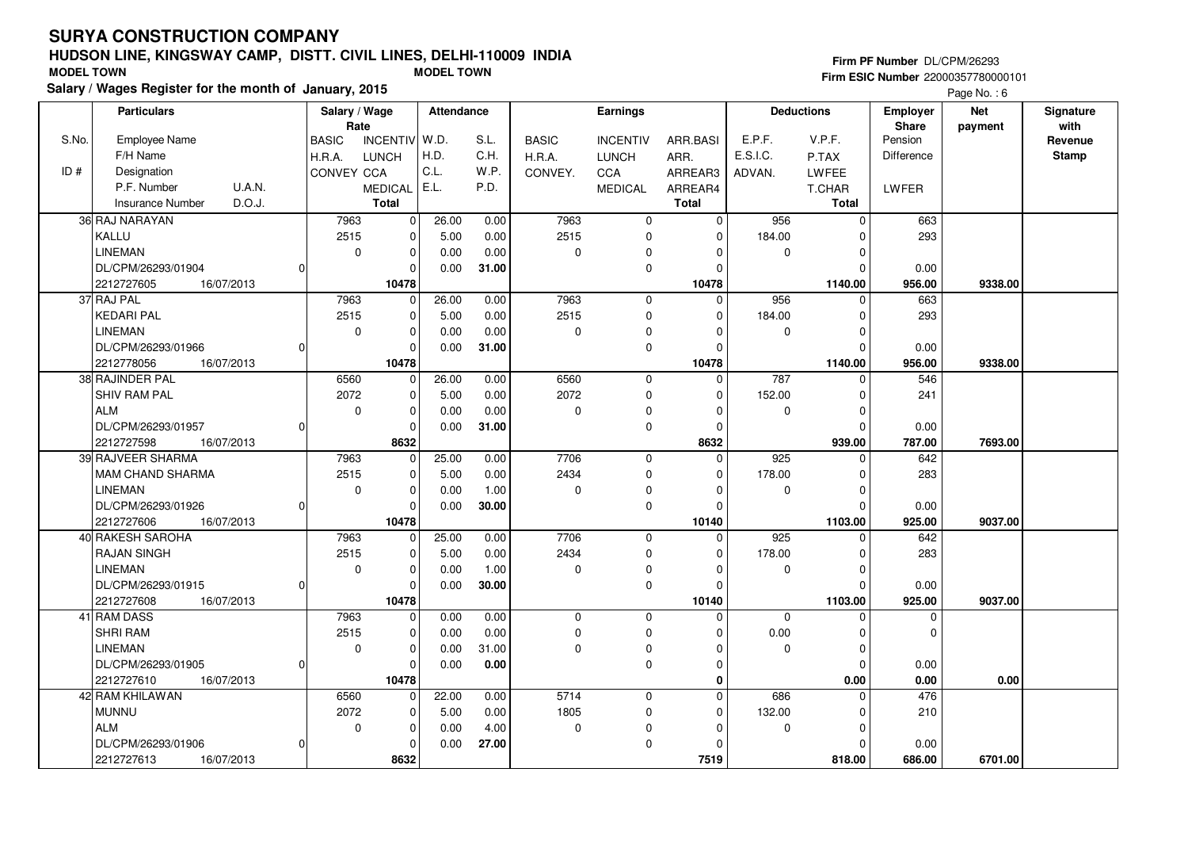### **HUDSON LINE, KINGSWAY CAMP, DISTT. CIVIL LINES, DELHI-110009 INDIASalary / Wages Register for the month of January, 2015 MODEL TOWN MODEL TOWN**

### **Firm PF Number** DL/CPM/26293

**Firm ESIC Number** 22000357780000101

|       | Salary / wages Register for the month of January, 2015 |                               |                   |              |                 |                |             |                   |                   | Page No.: 6 |              |
|-------|--------------------------------------------------------|-------------------------------|-------------------|--------------|-----------------|----------------|-------------|-------------------|-------------------|-------------|--------------|
|       | <b>Particulars</b>                                     | Salary / Wage                 | <b>Attendance</b> |              | Earnings        |                |             | <b>Deductions</b> | Employer          | <b>Net</b>  | Signature    |
|       |                                                        | Rate                          |                   |              |                 |                |             |                   | <b>Share</b>      | payment     | with         |
| S.No. | <b>Employee Name</b>                                   | INCENTIV W.D.<br><b>BASIC</b> | S.L.              | <b>BASIC</b> | <b>INCENTIV</b> | ARR.BASI       | E.P.F.      | V.P.F.            | Pension           |             | Revenue      |
|       | F/H Name                                               | H.R.A.<br><b>LUNCH</b>        | H.D.<br>C.H.      | H.R.A.       | <b>LUNCH</b>    | ARR.           | E.S.I.C.    | P.TAX             | <b>Difference</b> |             | <b>Stamp</b> |
| ID#   | Designation                                            | CONVEY CCA                    | C.L.<br>W.P.      | CONVEY.      | <b>CCA</b>      | ARREAR3        | ADVAN.      | <b>LWFEE</b>      |                   |             |              |
|       | P.F. Number<br><b>U.A.N.</b>                           | <b>MEDICAL</b>                | E.L.<br>P.D.      |              | <b>MEDICAL</b>  | ARREAR4        |             | T.CHAR            | LWFER             |             |              |
|       | D.O.J.<br><b>Insurance Number</b>                      | <b>Total</b>                  |                   |              |                 | <b>Total</b>   |             | Total             |                   |             |              |
|       | 36 RAJ NARAYAN                                         | 7963<br> 0                    | 26.00<br>0.00     | 7963         | $\mathbf 0$     | $\overline{0}$ | 956         | $\mathbf 0$       | 663               |             |              |
|       | KALLU                                                  | 2515<br>$\Omega$              | 5.00<br>0.00      | 2515         | $\mathbf 0$     | $\Omega$       | 184.00      | $\Omega$          | 293               |             |              |
|       | <b>LINEMAN</b>                                         | $\mathbf 0$<br>$\Omega$       | 0.00<br>0.00      | $\pmb{0}$    | $\mathbf 0$     | $\Omega$       | 0           | $\Omega$          |                   |             |              |
|       | DL/CPM/26293/01904<br>0                                | $\Omega$                      | 0.00<br>31.00     |              | $\pmb{0}$       | $\Omega$       |             | $\Omega$          | 0.00              |             |              |
|       | 2212727605<br>16/07/2013                               | 10478                         |                   |              |                 | 10478          |             | 1140.00           | 956.00            | 9338.00     |              |
|       | 37 RAJ PAL                                             | 7963<br>$\Omega$              | 26.00<br>0.00     | 7963         | $\mathbf{0}$    | $\mathbf 0$    | 956         | $\Omega$          | 663               |             |              |
|       | <b>KEDARI PAL</b>                                      | 2515<br>0                     | 5.00<br>0.00      | 2515         | 0               | $\Omega$       | 184.00      | $\Omega$          | 293               |             |              |
|       | <b>LINEMAN</b>                                         | $\mathbf 0$<br>$\Omega$       | 0.00<br>0.00      | $\pmb{0}$    | 0               | $\Omega$       | 0           | $\Omega$          |                   |             |              |
|       | DL/CPM/26293/01966<br>0                                |                               | 0.00<br>31.00     |              | $\mathbf 0$     | $\Omega$       |             | $\Omega$          | 0.00              |             |              |
|       | 2212778056<br>16/07/2013                               | 10478                         |                   |              |                 | 10478          |             | 1140.00           | 956.00            | 9338.00     |              |
|       | 38 RAJINDER PAL                                        | 6560<br>$\mathbf 0$           | 26.00<br>0.00     | 6560         | $\mathbf 0$     | $\mathbf 0$    | 787         | 0                 | 546               |             |              |
|       | <b>SHIV RAM PAL</b>                                    | 2072<br>$\Omega$              | 5.00<br>0.00      | 2072         | 0               | $\Omega$       | 152.00      | $\Omega$          | 241               |             |              |
|       | <b>ALM</b>                                             | $\mathbf 0$<br>$\Omega$       | 0.00<br>0.00      | $\pmb{0}$    | $\pmb{0}$       | $\Omega$       | 0           | $\Omega$          |                   |             |              |
|       | DL/CPM/26293/01957<br>0                                | $\Omega$                      | 0.00<br>31.00     |              | $\mathbf 0$     | $\Omega$       |             | $\Omega$          | 0.00              |             |              |
|       | 2212727598<br>16/07/2013                               | 8632                          |                   |              |                 | 8632           |             | 939.00            | 787.00            | 7693.00     |              |
|       | 39 RAJVEER SHARMA                                      | 7963<br>$\Omega$              | 25.00<br>0.00     | 7706         | $\mathbf 0$     | $\Omega$       | 925         | $\Omega$          | 642               |             |              |
|       | <b>MAM CHAND SHARMA</b>                                | 2515<br>$\Omega$              | 0.00<br>5.00      | 2434         | $\mathbf 0$     | $\Omega$       | 178.00      | $\Omega$          | 283               |             |              |
|       | <b>LINEMAN</b>                                         | $\mathbf 0$<br>$\mathbf 0$    | 0.00<br>1.00      | $\pmb{0}$    | 0               | $\Omega$       | 0           | 0                 |                   |             |              |
|       | DL/CPM/26293/01926                                     | οI<br>$\Omega$                | 30.00<br>0.00     |              | $\mathbf 0$     | $\Omega$       |             | $\Omega$          | 0.00              |             |              |
|       | 2212727606<br>16/07/2013                               | 10478                         |                   |              |                 | 10140          |             | 1103.00           | 925.00            | 9037.00     |              |
|       | 40 RAKESH SAROHA                                       | 7963<br>$\Omega$              | 25.00<br>0.00     | 7706         | $\mathbf 0$     | $\Omega$       | 925         | $\Omega$          | 642               |             |              |
|       | <b>RAJAN SINGH</b>                                     | 2515<br>0                     | 5.00<br>0.00      | 2434         | 0               | $\Omega$       | 178.00      | $\Omega$          | 283               |             |              |
|       | <b>LINEMAN</b>                                         | $\mathbf 0$<br>0              | 1.00<br>0.00      | $\pmb{0}$    | 0               | $\Omega$       | 0           | $\Omega$          |                   |             |              |
|       | DL/CPM/26293/01915<br>0                                |                               | 0.00<br>30.00     |              | $\mathbf 0$     | $\Omega$       |             | $\Omega$          | 0.00              |             |              |
|       | 2212727608<br>16/07/2013                               | 10478                         |                   |              |                 | 10140          |             | 1103.00           | 925.00            | 9037.00     |              |
|       | 41 RAM DASS                                            | 7963<br>0                     | 0.00<br>0.00      | 0            | $\mathbf 0$     | $\Omega$       | $\mathbf 0$ | $\Omega$          | 0                 |             |              |
|       | SHRI RAM                                               | 2515<br>$\mathbf 0$           | 0.00<br>0.00      | $\pmb{0}$    | $\pmb{0}$       | U              | 0.00        | $\Omega$          | $\Omega$          |             |              |
|       | <b>LINEMAN</b>                                         | $\mathbf 0$<br>$\Omega$       | 0.00<br>31.00     | $\mathbf 0$  | 0               | $\Omega$       | 0           | $\Omega$          |                   |             |              |
|       | DL/CPM/26293/01905<br>0                                | $\Omega$                      | 0.00<br>0.00      |              | $\mathbf 0$     | $\Omega$       |             | $\Omega$          | 0.00              |             |              |
|       | 2212727610<br>16/07/2013                               | 10478                         |                   |              |                 | $\bf{0}$       |             | 0.00              | 0.00              | 0.00        |              |
|       | 42 RAM KHILAWAN                                        | 6560<br>$\mathbf 0$           | 22.00<br>0.00     | 5714         | $\mathbf 0$     | $\Omega$       | 686         | $\mathbf 0$       | 476               |             |              |
|       | <b>MUNNU</b>                                           | 2072<br>$\mathbf 0$           | 5.00<br>0.00      | 1805         | $\mathbf 0$     | $\Omega$       | 132.00      | $\Omega$          | 210               |             |              |
|       | <b>ALM</b>                                             | $\mathbf 0$<br>$\mathbf 0$    | 0.00<br>4.00      | 0            | 0               | $\Omega$       | 0           | $\Omega$          |                   |             |              |
|       | DL/CPM/26293/01906<br>0                                | $\Omega$                      | 0.00<br>27.00     |              | $\mathbf 0$     |                |             | $\Omega$          | 0.00              |             |              |
|       | 2212727613<br>16/07/2013                               | 8632                          |                   |              |                 | 7519           |             | 818.00            | 686.00            | 6701.00     |              |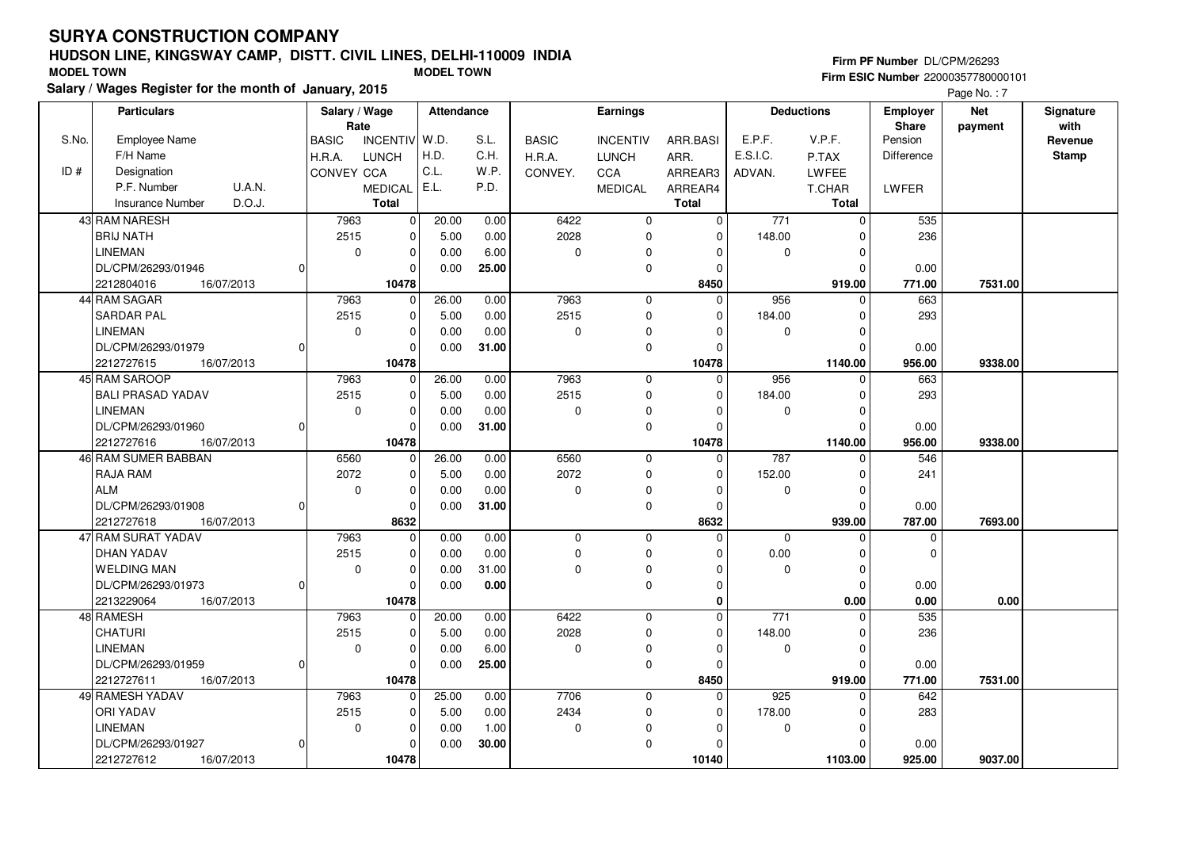# **HUDSON LINE, KINGSWAY CAMP, DISTT. CIVIL LINES, DELHI-110009 INDIA MODEL TOWN MODEL TOWN**

|       | <b>Firm ESIC Number 2200035/780000101</b><br>alary / Wages Register for the month of January, 2015<br><b>Deductions</b> |               |                   |                       |            |       |              |                 |              |          |              |                          |                       |                   |
|-------|-------------------------------------------------------------------------------------------------------------------------|---------------|-------------------|-----------------------|------------|-------|--------------|-----------------|--------------|----------|--------------|--------------------------|-----------------------|-------------------|
|       |                                                                                                                         |               |                   |                       |            |       |              |                 |              |          |              |                          | Page No.: 7           |                   |
|       | <b>Particulars</b>                                                                                                      |               |                   | Salary / Wage<br>Rate | Attendance |       |              | <b>Earnings</b> |              |          |              | Employer<br><b>Share</b> | <b>Net</b><br>payment | Signature<br>with |
| S.No. | <b>Employee Name</b>                                                                                                    |               | <b>BASIC</b>      | INCENTIV W.D.         |            | S.L.  | <b>BASIC</b> | <b>INCENTIV</b> | ARR.BASI     | E.P.F.   | V.P.F.       | Pension                  |                       | Revenue           |
|       | F/H Name                                                                                                                |               | H.R.A.            | <b>LUNCH</b>          | H.D.       | C.H.  | H.R.A.       | <b>LUNCH</b>    | ARR.         | E.S.I.C. | P.TAX        | Difference               |                       | Stamp             |
| ID#   | Designation                                                                                                             |               | <b>CONVEY CCA</b> |                       | C.L.       | W.P.  | CONVEY.      | <b>CCA</b>      | ARREAR3      | ADVAN.   | LWFEE        |                          |                       |                   |
|       | P.F. Number                                                                                                             | <b>U.A.N.</b> |                   | <b>MEDICAL</b>        | E.L.       | P.D.  |              | <b>MEDICAL</b>  | ARREAR4      |          | T.CHAR       | LWFER                    |                       |                   |
|       | Insurance Number                                                                                                        | D.O.J.        |                   | <b>Total</b>          |            |       |              |                 | <b>Total</b> |          | <b>Total</b> |                          |                       |                   |
|       | 43 RAM NARESH                                                                                                           |               | 7963              | $\Omega$              | 20.00      | 0.00  | 6422         | 0               | $\Omega$     | 771      | $\Omega$     | 535                      |                       |                   |
|       | <b>BRIJ NATH</b>                                                                                                        |               | 2515              |                       | 5.00       | 0.00  | 2028         |                 | $\Omega$     | 148.00   |              | 236                      |                       |                   |
|       | <b>LINEMAN</b>                                                                                                          |               |                   | $\Omega$<br>0         | 0.00       | 6.00  | $\Omega$     |                 |              | U        |              |                          |                       |                   |
|       | DL/CPM/26293/01946                                                                                                      |               |                   |                       | 0.00       | 25.00 |              | $\Omega$        |              |          |              | 0.00                     |                       |                   |
|       | 2212804016                                                                                                              | 16/07/2013    |                   | 10478                 |            |       |              |                 | 8450         |          | 919.00       | 771.00                   | 7531.00               |                   |
|       | 44 RAM SAGAR                                                                                                            |               | 7963              |                       | 26.00      | 0.00  | 7963         | $\Omega$        | 0            | 956      | U            | 663                      |                       |                   |
|       | <b>SARDAR PAL</b>                                                                                                       |               | 2515              | $\Omega$              | 5.00       | 0.00  | 2515         | O               | $\Omega$     | 184.00   |              | 293                      |                       |                   |
|       | <b>LINEMAN</b>                                                                                                          |               |                   | ŋ                     | 0.00       | 0.00  | O            |                 |              | U        |              |                          |                       |                   |
|       | DL/CPM/26293/01979                                                                                                      |               |                   |                       | 0.00       | 31.00 |              | $\Omega$        |              |          |              | 0.00                     |                       |                   |
|       | 2212727615                                                                                                              | 16/07/2013    |                   | 10478                 |            |       |              |                 | 10478        |          | 1140.00      | 956.00                   | 9338.00               |                   |
|       | 45 RAM SAROOP                                                                                                           |               | 7963              |                       | 26.00      | 0.00  | 7963         | 0               | $\Omega$     | 956      | $\Omega$     | 663                      |                       |                   |
|       | <b>BALI PRASAD YADAV</b>                                                                                                |               | 2515              | $\Omega$              | 5.00       | 0.00  | 2515         | $\Omega$        | $\Omega$     | 184.00   |              | 293                      |                       |                   |
|       | LINEMAN                                                                                                                 |               |                   | 0                     | 0.00       | 0.00  | $\Omega$     | $\Omega$        |              | 0        |              |                          |                       |                   |
|       | DL/CPM/26293/01960                                                                                                      |               |                   |                       | 0.00       | 31.00 |              | $\Omega$        | U            |          | 0            | 0.00                     |                       |                   |
|       | 2212727616                                                                                                              | 16/07/2013    |                   | 10478                 |            |       |              |                 | 10478        |          | 1140.00      | 956.00                   | 9338.00               |                   |
|       | 46 RAM SUMER BABBAN                                                                                                     |               | 6560              | $\Omega$              | 26.00      | 0.00  | 6560         | $\Omega$        | $\Omega$     | 787      | $\Omega$     | 546                      |                       |                   |
|       | RAJA RAM                                                                                                                |               | 2072              | $\Omega$              | 5.00       | 0.00  | 2072         | $\Omega$        | $\Omega$     | 152.00   |              | 241                      |                       |                   |
|       | <b>ALM</b>                                                                                                              |               |                   | 0                     | 0.00       | 0.00  | $\Omega$     | <sup>0</sup>    | ŋ            | 0        |              |                          |                       |                   |
|       | DL/CPM/26293/01908                                                                                                      |               |                   |                       | 0.00       | 31.00 |              | $\Omega$        | n            |          | 0            | 0.00                     |                       |                   |
|       | 2212727618                                                                                                              | 16/07/2013    |                   | 8632                  |            |       |              |                 | 8632         |          | 939.00       | 787.00                   | 7693.00               |                   |
|       | 47 RAM SURAT YADAV                                                                                                      |               | 7963              | $\Omega$              | 0.00       | 0.00  | $\mathbf 0$  | $\Omega$        | 0            | 0        | 0            | U                        |                       |                   |
|       | <b>DHAN YADAV</b>                                                                                                       |               | 2515              |                       | 0.00       | 0.00  | 0            | $\Omega$        | $\Omega$     | 0.00     | $\Omega$     | U                        |                       |                   |
|       |                                                                                                                         |               |                   |                       |            |       |              |                 |              |          |              |                          |                       |                   |

| 4/IRAM SURAT YADAV       | 7963 | 0        | 0.00  | 0.00  | $^{(1)}$     |          |       |        |         |        |         |  |
|--------------------------|------|----------|-------|-------|--------------|----------|-------|--------|---------|--------|---------|--|
| IDHAN YADAV              | 2515 | 0        | 0.00  | 0.00  |              | $\Omega$ |       | 0.00   |         |        |         |  |
| l WELDING MAN            |      | $\Omega$ | 0.00  | 31.00 |              |          |       |        |         |        |         |  |
| DL/CPM/26293/01973       |      |          | 0.00  | 0.00  |              | 0        |       |        |         | 0.00   |         |  |
| 16/07/2013<br>2213229064 |      | 10478    |       |       |              |          |       |        | 0.00    | 0.00   | 0.00    |  |
| 48 RAMESH                | 7963 | $\Omega$ | 20.00 | 0.00  | 6422         | $\Omega$ |       | 771    |         | 535    |         |  |
| ICHATURI                 | 2515 | 0        | 5.00  | 0.00  | 2028         | $\Omega$ |       | 148.00 |         | 236    |         |  |
| <b>LINEMAN</b>           |      | $\Omega$ | 0.00  | 6.00  | $\Omega$     | $\Omega$ |       |        |         |        |         |  |
| IDL/CPM/26293/01959      |      |          | 0.00  | 25.00 |              |          |       |        |         | 0.00   |         |  |
| 16/07/2013<br>2212727611 |      | 10478    |       |       |              |          | 8450  |        | 919.00  | 771.00 | 7531.00 |  |
| 49 RAMESH YADAV          | 7963 |          | 25.00 | 0.00  | 7706         | 0        |       | 925    |         | 642    |         |  |
| IORI YADAV               | 2515 | $\Omega$ | 5.00  | 0.00  | 2434         | $\Omega$ |       | 178.00 |         | 283    |         |  |
| <b>LINEMAN</b>           |      | $\Omega$ | 0.00  | 1.00  | <sup>0</sup> |          |       |        |         |        |         |  |
| DL/CPM/26293/01927       |      | $\Omega$ | 0.00  | 30.00 |              | $\Omega$ |       |        |         | 0.00   |         |  |
| 2212727612<br>16/07/2013 |      | 10478    |       |       |              |          | 10140 |        | 1103.00 | 925.00 | 9037.00 |  |

**Firm PF Number** DL/CPM/26293 **Firm ESIC Number** 22000357780000101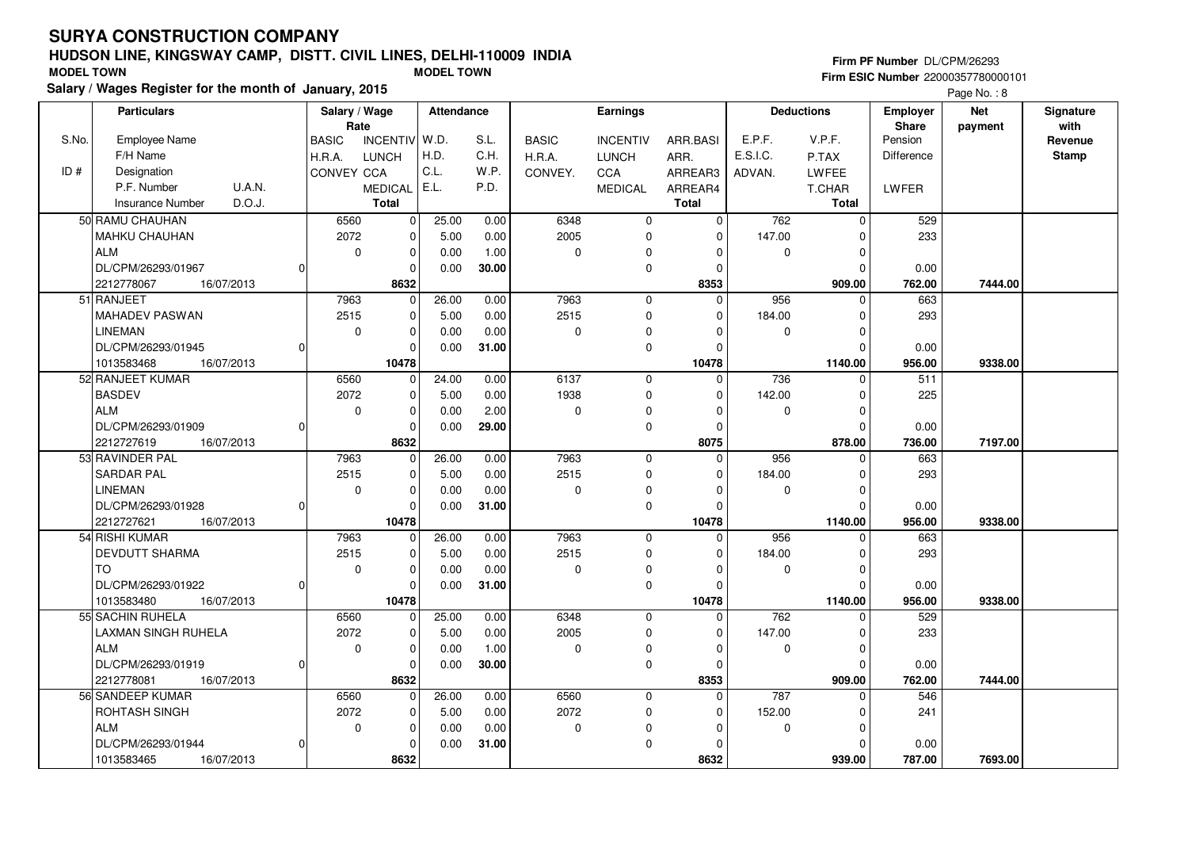ROHTASH SINGH

DL/CPM/26293/01944

ALM

#### **HUDSON LINE, KINGSWAY CAMP, DISTT. CIVIL LINES, DELHI-110009 INDIAFirm ESIC Number** 22000357780000101 **MODEL TOWN MODEL TOWN**

 2072 $\overline{0}$ 

0

1013583465 **8632**

 $\overline{0}$  $\overline{0}$  $\overline{0}$ 8632  5.00 0.000.00

 0.00 0.00**31.00**

**Salary / Wages Register for the month of January, 2015**

|       |                                   |          |                       |                |            |       |               |                 |              |             |                   |            | Page No.: 8 |              |
|-------|-----------------------------------|----------|-----------------------|----------------|------------|-------|---------------|-----------------|--------------|-------------|-------------------|------------|-------------|--------------|
|       | <b>Particulars</b>                |          | Salary / Wage<br>Rate |                | Attendance |       |               | <b>Earnings</b> |              |             | <b>Deductions</b> | Employer   | <b>Net</b>  | Signature    |
|       |                                   |          |                       |                |            |       |               |                 |              |             |                   | Share      | payment     | with         |
| S.No. | <b>Employee Name</b>              |          | <b>BASIC</b>          | INCENTIV W.D.  |            | S.L.  | <b>BASIC</b>  | <b>INCENTIV</b> | ARR.BASI     | E.P.F.      | V.P.F.            | Pension    |             | Revenue      |
|       | F/H Name                          |          | H.R.A.                | <b>LUNCH</b>   | H.D.       | C.H.  | <b>H.R.A.</b> | <b>LUNCH</b>    | ARR.         | E.S.I.C.    | P.TAX             | Difference |             | <b>Stamp</b> |
| ID#   | Designation                       |          | CONVEY CCA            |                | C.L.       | W.P.  | CONVEY.       | CCA             | ARREAR3      | ADVAN.      | LWFEE             |            |             |              |
|       | <b>U.A.N.</b><br>P.F. Number      |          |                       | <b>MEDICAL</b> | E.L.       | P.D.  |               | <b>MEDICAL</b>  | ARREAR4      |             | T.CHAR            | LWFER      |             |              |
|       | D.O.J.<br><b>Insurance Number</b> |          |                       | <b>Total</b>   |            |       |               |                 | <b>Total</b> |             | <b>Total</b>      |            |             |              |
|       | 50 RAMU CHAUHAN                   |          | 6560                  | $\overline{0}$ | 25.00      | 0.00  | 6348          | $\Omega$        | $\Omega$     | 762         | $\Omega$          | 529        |             |              |
|       | MAHKU CHAUHAN                     |          | 2072                  | $\Omega$       | 5.00       | 0.00  | 2005          | $\Omega$        | $\Omega$     | 147.00      | $\Omega$          | 233        |             |              |
|       | <b>ALM</b>                        |          | 0                     | $\Omega$       | 0.00       | 1.00  | $\Omega$      | $\Omega$        | $\Omega$     | $\mathbf 0$ | $\Omega$          |            |             |              |
|       | DL/CPM/26293/01967                | 0        |                       | $\Omega$       | 0.00       | 30.00 |               | $\Omega$        | 0            |             | 0                 | 0.00       |             |              |
|       | 2212778067<br>16/07/2013          |          |                       | 8632           |            |       |               |                 | 8353         |             | 909.00            | 762.00     | 7444.00     |              |
|       | 51 RANJEET                        |          | 7963                  | $\Omega$       | 26.00      | 0.00  | 7963          | $\Omega$        | $\Omega$     | 956         | $\Omega$          | 663        |             |              |
|       | <b>MAHADEV PASWAN</b>             |          | 2515                  | $\Omega$       | 5.00       | 0.00  | 2515          | $\Omega$        | $\Omega$     | 184.00      | $\Omega$          | 293        |             |              |
|       | <b>LINEMAN</b>                    |          | 0                     | $\Omega$       | 0.00       | 0.00  | $\Omega$      | 0               | $\Omega$     | 0           | $\Omega$          |            |             |              |
|       | DL/CPM/26293/01945                | 0        |                       | $\Omega$       | 0.00       | 31.00 |               | $\Omega$        | $\Omega$     |             | $\Omega$          | 0.00       |             |              |
|       | 16/07/2013<br>1013583468          |          |                       | 10478          |            |       |               |                 | 10478        |             | 1140.00           | 956.00     | 9338.00     |              |
|       | 52 RANJEET KUMAR                  |          | 6560                  | $\mathbf 0$    | 24.00      | 0.00  | 6137          | $\mathbf{0}$    | $\mathbf 0$  | 736         | $\Omega$          | 511        |             |              |
|       | <b>BASDEV</b>                     |          | 2072                  | $\Omega$       | 5.00       | 0.00  | 1938          | $\Omega$        | $\Omega$     | 142.00      | $\Omega$          | 225        |             |              |
|       | <b>ALM</b>                        |          | 0                     | $\Omega$       | 0.00       | 2.00  | $\Omega$      | $\Omega$        | $\Omega$     | $\Omega$    | $\Omega$          |            |             |              |
|       | DL/CPM/26293/01909                | $\Omega$ |                       | $\Omega$       | 0.00       | 29.00 |               | $\Omega$        | $\Omega$     |             | $\Omega$          | 0.00       |             |              |
|       | 2212727619<br>16/07/2013          |          |                       | 8632           |            |       |               |                 | 8075         |             | 878.00            | 736.00     | 7197.00     |              |
|       | 53 RAVINDER PAL                   |          | 7963                  | $\Omega$       | 26.00      | 0.00  | 7963          | $\Omega$        | $\mathbf 0$  | 956         | $\Omega$          | 663        |             |              |
|       | <b>SARDAR PAL</b>                 |          | 2515                  | $\Omega$       | 5.00       | 0.00  | 2515          | $\Omega$        | 0            | 184.00      | $\Omega$          | 293        |             |              |
|       | <b>LINEMAN</b>                    |          | 0                     | $\Omega$       | 0.00       | 0.00  | $\Omega$      | $\Omega$        | 0            | $\mathbf 0$ | $\Omega$          |            |             |              |
|       | DL/CPM/26293/01928                | $\Omega$ |                       | $\Omega$       | 0.00       | 31.00 |               | $\Omega$        | $\Omega$     |             | O                 | 0.00       |             |              |
|       | 2212727621<br>16/07/2013          |          |                       | 10478          |            |       |               |                 | 10478        |             | 1140.00           | 956.00     | 9338.00     |              |
|       | 54 RISHI KUMAR                    |          | 7963                  | $\Omega$       | 26.00      | 0.00  | 7963          | $\Omega$        | $\Omega$     | 956         | $\Omega$          | 663        |             |              |
|       | DEVDUTT SHARMA                    |          | 2515                  | $\Omega$       | 5.00       | 0.00  | 2515          | $\Omega$        | $\Omega$     | 184.00      | $\Omega$          | 293        |             |              |
|       | <b>TO</b>                         |          | 0                     | $\Omega$       | 0.00       | 0.00  | $\Omega$      | $\mathbf 0$     | 0            | $\mathbf 0$ | $\Omega$          |            |             |              |
|       | DL/CPM/26293/01922                | 0        |                       | $\Omega$       | 0.00       | 31.00 |               | $\Omega$        | $\Omega$     |             | $\Omega$          | 0.00       |             |              |
|       | 1013583480<br>16/07/2013          |          |                       | 10478          |            |       |               |                 | 10478        |             | 1140.00           | 956.00     | 9338.00     |              |
|       | 55 SACHIN RUHELA                  |          | 6560                  | $\Omega$       | 25.00      | 0.00  | 6348          | $\Omega$        | $\Omega$     | 762         | $\Omega$          | 529        |             |              |
|       | LAXMAN SINGH RUHELA               |          | 2072                  | $\Omega$       | 5.00       | 0.00  | 2005          | $\Omega$        | $\Omega$     | 147.00      | <sup>0</sup>      | 233        |             |              |
|       | <b>ALM</b>                        |          | 0                     | $\Omega$       | 0.00       | 1.00  | $\mathbf 0$   | $\mathbf 0$     | $\Omega$     | 0           | $\Omega$          |            |             |              |
|       | DL/CPM/26293/01919                | 0        |                       | $\mathbf 0$    | 0.00       | 30.00 |               | $\Omega$        | $\Omega$     |             | $\Omega$          | 0.00       |             |              |
|       | 16/07/2013<br>2212778081          |          |                       | 8632           |            |       |               |                 | 8353         |             | 909.00            | 762.00     | 7444.00     |              |
|       | 56 SANDEEP KUMAR                  |          | 6560                  | $\overline{0}$ | 26.00      | 0.00  | 6560          | $\mathbf 0$     | $\Omega$     | 787         | $\mathbf 0$       | 546        |             |              |

 2072 $\overline{0}$ 

16/07/2013 **787.00**

 $\overline{0}$  $\overline{0}$  $\overline{0}$  **8632**  152.00 $\overline{0}$ 

 $\overline{0}$ 

241

 0.00787.00

 $\overline{0}$  $\overline{0}$ 939.00

 **939.00 7693.00**

 $\overline{0}$  $\overline{0}$  $\overline{0}$ 

#### **Firm PF Number** DL/CPM/26293

Page No. : 8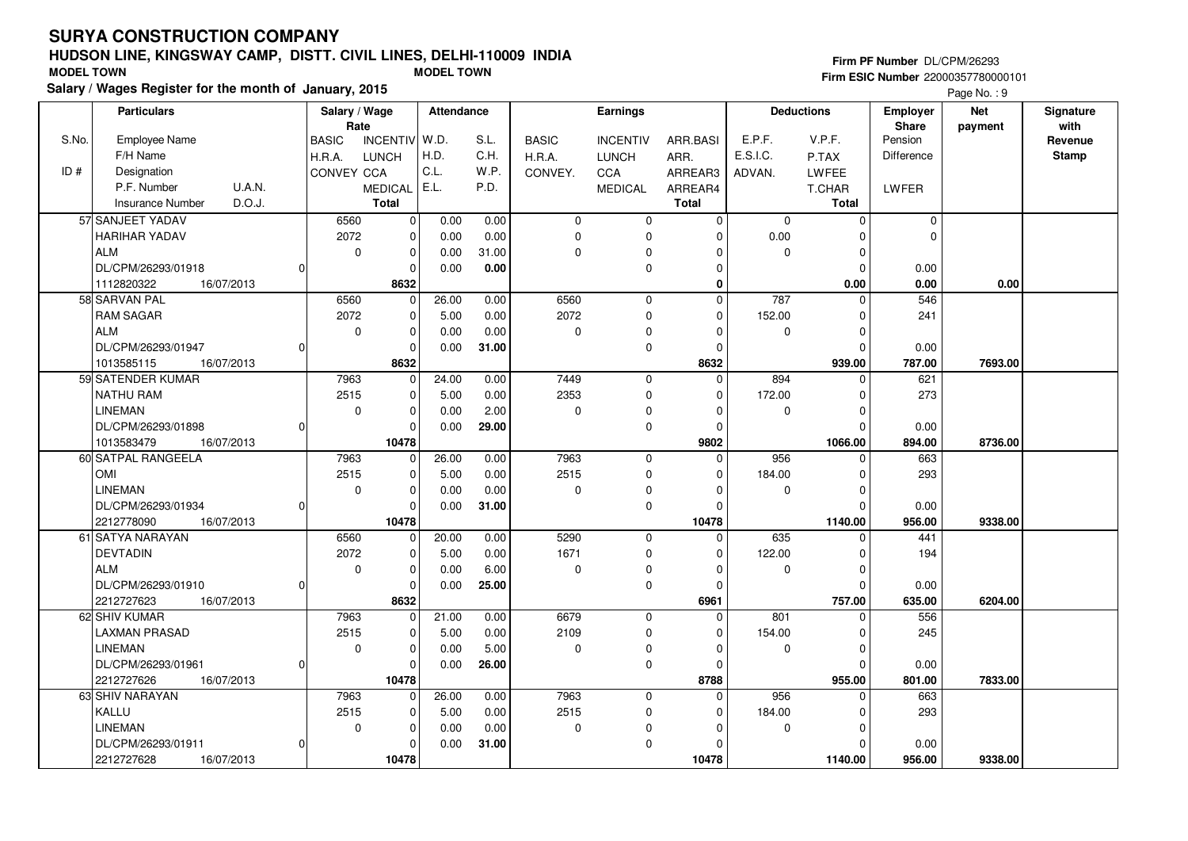KALLULINEMAN

2212727628 **10478**

DL/CPM/26293/01911

16/07/2013

#### **HUDSON LINE, KINGSWAY CAMP, DISTT. CIVIL LINES, DELHI-110009 INDIAFirm ESIC Number** 22000357780000101 **MODEL TOWN MODEL TOWN**

 2515 $\overline{0}$ 

0

 $\overline{0}$  $\overline{0}$  $\overline{0}$ 10478  5.00 0.000.00

 0.00 0.00**31.00**

**Salary / Wages Register for the month of January, 2015**

|       |                              |               |                |            |       |              |                 |              |              |                   |                   | Page No.: 9 |              |
|-------|------------------------------|---------------|----------------|------------|-------|--------------|-----------------|--------------|--------------|-------------------|-------------------|-------------|--------------|
|       | <b>Particulars</b>           | Salary / Wage |                | Attendance |       |              | Earnings        |              |              | <b>Deductions</b> | <b>Employer</b>   | <b>Net</b>  | Signature    |
|       |                              | Rate          |                |            |       |              |                 |              |              |                   | <b>Share</b>      | payment     | with         |
| S.No. | <b>Employee Name</b>         | <b>BASIC</b>  | INCENTIV W.D.  |            | S.L.  | <b>BASIC</b> | <b>INCENTIV</b> | ARR.BASI     | E.P.F.       | V.P.F.            | Pension           |             | Revenue      |
|       | F/H Name                     | H.R.A.        | <b>LUNCH</b>   | H.D.       | C.H.  | H.R.A.       | <b>LUNCH</b>    | ARR.         | E.S.I.C.     | P.TAX             | <b>Difference</b> |             | <b>Stamp</b> |
| ID#   | Designation                  | CONVEY CCA    |                | C.L.       | W.P.  | CONVEY.      | CCA             | ARREAR3      | ADVAN.       | LWFEE             |                   |             |              |
|       | P.F. Number<br><b>U.A.N.</b> |               | <b>MEDICAL</b> | E.L.       | P.D.  |              | <b>MEDICAL</b>  | ARREAR4      |              | T.CHAR            | LWFER             |             |              |
|       | D.O.J.<br>Insurance Number   |               | <b>Total</b>   |            |       |              |                 | <b>Total</b> |              | <b>Total</b>      |                   |             |              |
|       | 57 SANJEET YADAV             | 6560          | $\Omega$       | 0.00       | 0.00  | $\Omega$     | $\Omega$        | $\Omega$     | $\mathbf{0}$ | $\Omega$          | $\Omega$          |             |              |
|       | <b>HARIHAR YADAV</b>         | 2072          | $\Omega$       | 0.00       | 0.00  | $\Omega$     | $\Omega$        | O            | 0.00         | ∩                 | $\sqrt{2}$        |             |              |
|       | l ALM                        | 0             | $\Omega$       | 0.00       | 31.00 | $\Omega$     | $\Omega$        | n            | $\Omega$     | $\Omega$          |                   |             |              |
|       | DL/CPM/26293/01918           |               | $\Omega$       | 0.00       | 0.00  |              | $\Omega$        | $\Omega$     |              | $\Omega$          | 0.00              |             |              |
|       | 16/07/2013<br>1112820322     |               | 8632           |            |       |              |                 | $\bf{0}$     |              | 0.00              | 0.00              | 0.00        |              |
|       | 58 SARVAN PAL                | 6560          | $\mathbf 0$    | 26.00      | 0.00  | 6560         | $\mathbf 0$     | $\mathbf 0$  | 787          | $\Omega$          | 546               |             |              |
|       | <b>RAM SAGAR</b>             | 2072          | $\Omega$       | 5.00       | 0.00  | 2072         | $\Omega$        | $\Omega$     | 152.00       | $\Omega$          | 241               |             |              |
|       | <b>ALM</b>                   | $\mathbf 0$   | $\Omega$       | 0.00       | 0.00  | $\Omega$     | $\Omega$        | $\Omega$     | $\Omega$     | $\Omega$          |                   |             |              |
|       | DL/CPM/26293/01947           |               | $\Omega$       | 0.00       | 31.00 |              | $\Omega$        | $\Omega$     |              | $\Omega$          | 0.00              |             |              |
|       | 16/07/2013<br>1013585115     |               | 8632           |            |       |              |                 | 8632         |              | 939.00            | 787.00            | 7693.00     |              |
|       | 59 SATENDER KUMAR            | 7963          | $\mathbf 0$    | 24.00      | 0.00  | 7449         | $\mathbf 0$     | $\mathbf 0$  | 894          | $\Omega$          | 621               |             |              |
|       | <b>NATHU RAM</b>             | 2515          | $\Omega$       | 5.00       | 0.00  | 2353         | $\mathbf 0$     | $\Omega$     | 172.00       | $\Omega$          | 273               |             |              |
|       | <b>LINEMAN</b>               | 0             | $\Omega$       | 0.00       | 2.00  | $\Omega$     | $\Omega$        | $\Omega$     | 0            | $\Omega$          |                   |             |              |
|       | DL/CPM/26293/01898           |               | $\Omega$       | 0.00       | 29.00 |              | $\Omega$        | O            |              | $\Omega$          | 0.00              |             |              |
|       | 16/07/2013<br>1013583479     |               | 10478          |            |       |              |                 | 9802         |              | 1066.00           | 894.00            | 8736.00     |              |
|       | 60 SATPAL RANGEELA           | 7963          | $\overline{0}$ | 26.00      | 0.00  | 7963         | $\mathbf 0$     | 0            | 956          | $\Omega$          | 663               |             |              |
|       | <b>OMI</b>                   | 2515          | $\Omega$       | 5.00       | 0.00  | 2515         | $\Omega$        | $\mathbf 0$  | 184.00       | ∩                 | 293               |             |              |
|       | <b>LINEMAN</b>               | 0             | $\Omega$       | 0.00       | 0.00  | $\Omega$     | $\Omega$        | $\Omega$     | $\mathbf 0$  | $\Omega$          |                   |             |              |
|       | DL/CPM/26293/01934           |               | $\Omega$       | 0.00       | 31.00 |              | $\Omega$        | O            |              | $\Omega$          | 0.00              |             |              |
|       | 16/07/2013<br>2212778090     |               | 10478          |            |       |              |                 | 10478        |              | 1140.00           | 956.00            | 9338.00     |              |
|       | 61 SATYA NARAYAN             | 6560          | $\Omega$       | 20.00      | 0.00  | 5290         | $\Omega$        | $\Omega$     | 635          | $\Omega$          | 441               |             |              |
|       | <b>DEVTADIN</b>              | 2072          | $\Omega$       | 5.00       | 0.00  | 1671         | $\Omega$        | $\Omega$     | 122.00       |                   | 194               |             |              |
|       | l alm                        | $\Omega$      | $\Omega$       | 0.00       | 6.00  | $\Omega$     | $\Omega$        | $\Omega$     | $\Omega$     | $\Omega$          |                   |             |              |
|       | DL/CPM/26293/01910           |               | $\Omega$       | 0.00       | 25.00 |              | $\Omega$        | 0            |              | $\Omega$          | 0.00              |             |              |
|       | 16/07/2013<br>2212727623     |               | 8632           |            |       |              |                 | 6961         |              | 757.00            | 635.00            | 6204.00     |              |
|       | 62 SHIV KUMAR                | 7963          | $\Omega$       | 21.00      | 0.00  | 6679         | $\mathbf 0$     | $\Omega$     | 801          | $\Omega$          | 556               |             |              |
|       | <b>LAXMAN PRASAD</b>         | 2515          | $\Omega$       | 5.00       | 0.00  | 2109         | $\Omega$        | $\Omega$     | 154.00       |                   | 245               |             |              |
|       | <b>LINEMAN</b>               | 0             | $\Omega$       | 0.00       | 5.00  | $\Omega$     | 0               | $\Omega$     | $\Omega$     | $\Omega$          |                   |             |              |
|       | DL/CPM/26293/01961           |               | $\Omega$       | 0.00       | 26.00 |              | $\Omega$        | n            |              | $\Omega$          | 0.00              |             |              |
|       | 2212727626<br>16/07/2013     |               | 10478          |            |       |              |                 | 8788         |              | 955.00            | 801.00            | 7833.00     |              |
|       | 63 SHIV NARAYAN              | 7963          | $\Omega$       | 26.00      | 0.00  | 7963         | $\mathbf 0$     | $\Omega$     | 956          | $\Omega$          | 663               |             |              |

 2515 $\overline{0}$ 

16/07/2013 **956.00**

 $\overline{0}$  $\overline{0}$  $\overline{0}$  **10478**  184.00 $\overline{0}$ 

 $\overline{\phantom{0}}$ 

 $\overline{0}$  $\overline{0}$ 

 **1140.00 9338.00**

293

 0.00956.00

 $\overline{\phantom{0}}$  $\overline{\phantom{0}}$  $\overline{\phantom{0}}$  **Firm PF Number** DL/CPM/26293

Page No. : 9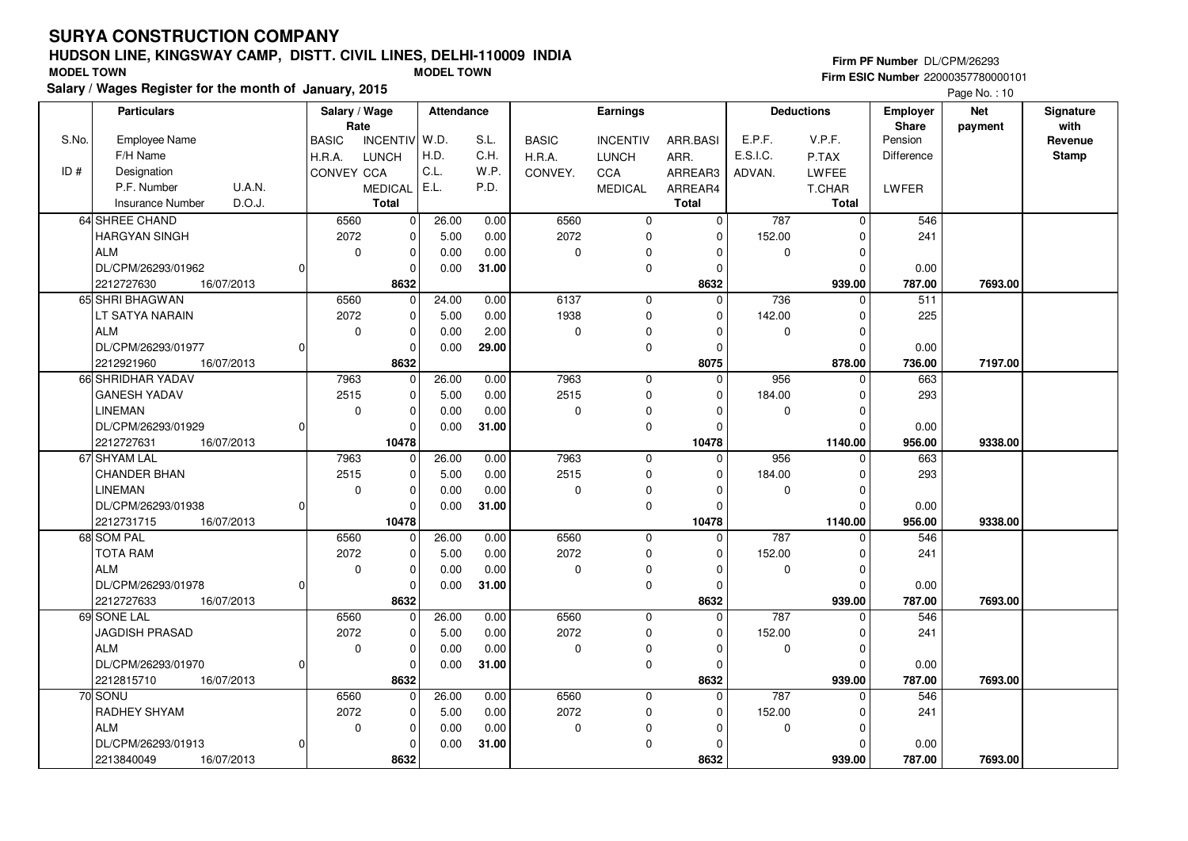RADHEY SHYAM

 $2213840049$ 

DL/CPM/26293/01913

16/07/2013

ALM

#### **HUDSON LINE, KINGSWAY CAMP, DISTT. CIVIL LINES, DELHI-110009 INDIAFirm ESIC Number** 22000357780000101 **MODEL TOWN MODEL TOWN**

 2072 $\overline{\phantom{0}}$ 

0

 $\overline{0}$  $\overline{0}$  $\overline{0}$ 8632  5.00 0.000.00

 0.00 0.00**31.00**

**Salary / Wages Register for the month of January, 2015**

|       |                              |                       |              |                |            |       |              |                 |                |             |                   |                   | Page No.: 10 |              |
|-------|------------------------------|-----------------------|--------------|----------------|------------|-------|--------------|-----------------|----------------|-------------|-------------------|-------------------|--------------|--------------|
|       | <b>Particulars</b>           | Salary / Wage<br>Rate |              |                | Attendance |       |              | Earnings        |                |             | <b>Deductions</b> | Employer          | <b>Net</b>   | Signature    |
|       |                              |                       |              |                |            |       |              |                 |                |             |                   | Share             | payment      | with         |
| S.No. | <b>Employee Name</b>         |                       | <b>BASIC</b> | INCENTIV W.D.  |            | S.L.  | <b>BASIC</b> | <b>INCENTIV</b> | ARR.BASI       | E.P.F.      | V.P.F.            | Pension           |              | Revenue      |
|       | F/H Name                     |                       | H.R.A.       | <b>LUNCH</b>   | H.D.       | C.H.  | H.R.A.       | <b>LUNCH</b>    | ARR.           | E.S.I.C.    | P.TAX             | <b>Difference</b> |              | <b>Stamp</b> |
| ID#   | Designation                  |                       | CONVEY CCA   |                | C.L.       | W.P.  | CONVEY.      | CCA             | ARREAR3        | ADVAN.      | <b>LWFEE</b>      |                   |              |              |
|       | P.F. Number<br><b>U.A.N.</b> |                       |              | <b>MEDICAL</b> | E.L.       | P.D.  |              | <b>MEDICAL</b>  | ARREAR4        |             | T.CHAR            | LWFER             |              |              |
|       | D.O.J.<br>Insurance Number   |                       |              | <b>Total</b>   |            |       |              |                 | <b>Total</b>   |             | <b>Total</b>      |                   |              |              |
|       | 64 SHREE CHAND               |                       | 6560         | $\Omega$       | 26.00      | 0.00  | 6560         | $\Omega$        | $\mathbf 0$    | 787         | $\Omega$          | 546               |              |              |
|       | <b>HARGYAN SINGH</b>         |                       | 2072         | $\Omega$       | 5.00       | 0.00  | 2072         | 0               | $\mathbf 0$    | 152.00      | $\Omega$          | 241               |              |              |
|       | <b>ALM</b>                   |                       | $\mathbf{0}$ | $\Omega$       | 0.00       | 0.00  | $\Omega$     | 0               | $\Omega$       | $\mathbf 0$ | $\Omega$          |                   |              |              |
|       | DL/CPM/26293/01962           | 0                     |              | $\Omega$       | 0.00       | 31.00 |              | 0               | $\Omega$       |             | $\Omega$          | 0.00              |              |              |
|       | 16/07/2013<br>2212727630     |                       |              | 8632           |            |       |              |                 | 8632           |             | 939.00            | 787.00            | 7693.00      |              |
|       | 65 SHRI BHAGWAN              |                       | 6560         | $\Omega$       | 24.00      | 0.00  | 6137         | $\Omega$        | $\Omega$       | 736         | $\Omega$          | 511               |              |              |
|       | LT SATYA NARAIN              |                       | 2072         | $\Omega$       | 5.00       | 0.00  | 1938         | $\Omega$        | $\overline{0}$ | 142.00      | $\Omega$          | 225               |              |              |
|       | <b>ALM</b>                   |                       | $\Omega$     | $\Omega$       | 0.00       | 2.00  | $\Omega$     | 0               | $\mathbf 0$    | $\Omega$    | $\Omega$          |                   |              |              |
|       | DL/CPM/26293/01977           | 0                     |              | $\Omega$       | 0.00       | 29.00 |              | $\Omega$        | $\mathbf 0$    |             | $\mathbf 0$       | 0.00              |              |              |
|       | 2212921960<br>16/07/2013     |                       |              | 8632           |            |       |              |                 | 8075           |             | 878.00            | 736.00            | 7197.00      |              |
|       | 66 SHRIDHAR YADAV            |                       | 7963         | $\Omega$       | 26.00      | 0.00  | 7963         | $\Omega$        | $\Omega$       | 956         | $\Omega$          | 663               |              |              |
|       | <b>GANESH YADAV</b>          |                       | 2515         | $\Omega$       | 5.00       | 0.00  | 2515         | $\Omega$        | $\mathbf 0$    | 184.00      | $\Omega$          | 293               |              |              |
|       | <b>LINEMAN</b>               |                       | $\mathbf 0$  | $\Omega$       | 0.00       | 0.00  | $\Omega$     | 0               | $\Omega$       | $\mathbf 0$ | $\Omega$          |                   |              |              |
|       | DL/CPM/26293/01929           | 0                     |              | 0              | 0.00       | 31.00 |              | $\Omega$        | $\Omega$       |             | $\Omega$          | 0.00              |              |              |
|       | 2212727631<br>16/07/2013     |                       |              | 10478          |            |       |              |                 | 10478          |             | 1140.00           | 956.00            | 9338.00      |              |
|       | 67 SHYAM LAL                 |                       | 7963         | $\overline{0}$ | 26.00      | 0.00  | 7963         | 0               | 0              | 956         | $\Omega$          | 663               |              |              |
|       | <b>CHANDER BHAN</b>          |                       | 2515         | $\overline{0}$ | 5.00       | 0.00  | 2515         | 0               | $\overline{0}$ | 184.00      | $\Omega$          | 293               |              |              |
|       | <b>LINEMAN</b>               |                       | $\mathbf 0$  | $\mathbf 0$    | 0.00       | 0.00  | $\Omega$     | 0               | $\mathbf 0$    | $\mathbf 0$ | $\Omega$          |                   |              |              |
|       | DL/CPM/26293/01938           | 0                     |              | $\Omega$       | 0.00       | 31.00 |              | $\Omega$        | $\Omega$       |             | $\Omega$          | 0.00              |              |              |
|       | 2212731715<br>16/07/2013     |                       |              | 10478          |            |       |              |                 | 10478          |             | 1140.00           | 956.00            | 9338.00      |              |
|       | 68 SOM PAL                   |                       | 6560         | $\mathbf{0}$   | 26.00      | 0.00  | 6560         | $\mathbf 0$     | $\mathbf 0$    | 787         | $\Omega$          | 546               |              |              |
|       | <b>TOTA RAM</b>              |                       | 2072         | $\Omega$       | 5.00       | 0.00  | 2072         | $\mathbf 0$     | $\mathbf 0$    | 152.00      | $\Omega$          | 241               |              |              |
|       | <b>ALM</b>                   |                       | $\mathbf 0$  | $\Omega$       | 0.00       | 0.00  | $\Omega$     | 0               | $\Omega$       | 0           | $\Omega$          |                   |              |              |
|       | DL/CPM/26293/01978           | 0                     |              | $\Omega$       | 0.00       | 31.00 |              | $\Omega$        | $\Omega$       |             | $\Omega$          | 0.00              |              |              |
|       | 16/07/2013<br>2212727633     |                       |              | 8632           |            |       |              |                 | 8632           |             | 939.00            | 787.00            | 7693.00      |              |
|       | 69 SONE LAL                  |                       | 6560         | $\mathbf 0$    | 26.00      | 0.00  | 6560         | $\mathbf 0$     | $\Omega$       | 787         | $\Omega$          | 546               |              |              |
|       | <b>JAGDISH PRASAD</b>        |                       | 2072         | $\Omega$       | 5.00       | 0.00  | 2072         | $\Omega$        | $\mathbf 0$    | 152.00      | $\Omega$          | 241               |              |              |
|       | <b>ALM</b>                   |                       | $\Omega$     | $\Omega$       | 0.00       | 0.00  | $\Omega$     | $\Omega$        | $\Omega$       | $\Omega$    | $\Omega$          |                   |              |              |
|       | DL/CPM/26293/01970           | 0                     |              | 0              | 0.00       | 31.00 |              | $\Omega$        | $\Omega$       |             | $\Omega$          | 0.00              |              |              |
|       | 16/07/2013<br>2212815710     |                       |              | 8632           |            |       |              |                 | 8632           |             | 939.00            | 787.00            | 7693.00      |              |
|       | 70 SONU                      |                       | 6560         | $\overline{0}$ | 26.00      | 0.00  | 6560         | $\Omega$        | $\mathbf 0$    | 787         | $\mathbf 0$       | 546               |              |              |

 2072 $\overline{0}$ 

16/07/2013 **787.00**

 $\overline{0}$  $\overline{0}$  $\overline{0}$  **8632**  152.00 $\overline{0}$ 

 $\overline{0}$ 

241

 0.00787.00

 $\overline{0}$  $\overline{0}$ 939.00

 **939.00 7693.00**

 $\overline{0}$  $\overline{0}$  $\overline{0}$ 

#### **Firm PF Number** DL/CPM/26293

Page No. : 10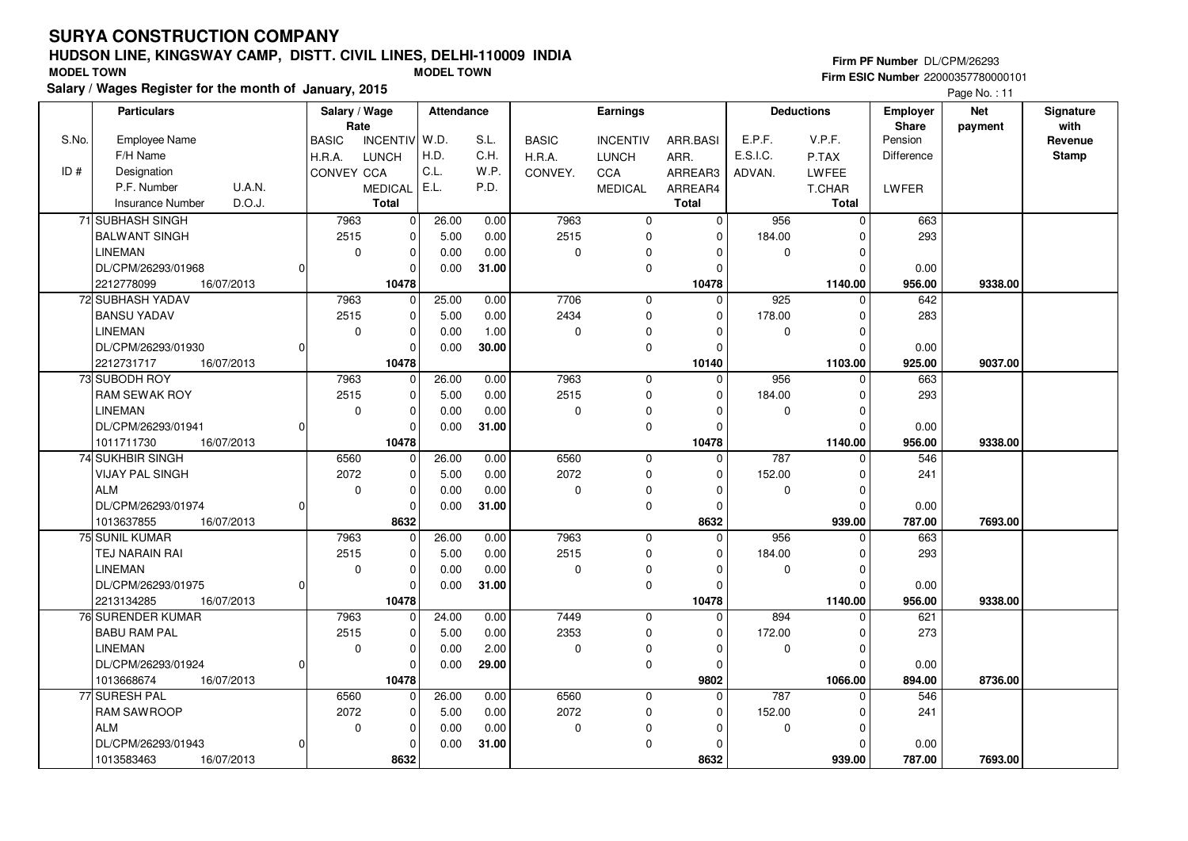DL/CPM/26293/01924

DL/CPM/26293/01943

1013668674 **10478**

1013583463 **8632**

<sup>77</sup> SURESH PALRAM SAWROOP

ALM

16/07/2013

16/07/2013

 $|0|$ 

 $\Omega$ 

#### **HUDSON LINE, KINGSWAY CAMP, DISTT. CIVIL LINES, DELHI-110009 INDIAFirm ESIC Number** 22000357780000101 **MODEL TOWN MODEL TOWN**

 $\overline{0}$ 10478 0.00

26.00 5.00 0.000.00

**29.00**

 0.00 0.00 0.00**31.00**

 $\overline{0}$ 

 $\overline{0}$  $\overline{0}$  $\overline{0}$ 8632

 6560 2072 $\overline{0}$ 

**Salary / Wages Register for the month ofJanuary, 2015**

|       | alary / wages Register for the month of January, 2015 |  |                   |                            |        |            |              |                 |              | Page No.: 11      |              |                                 |                       |                   |
|-------|-------------------------------------------------------|--|-------------------|----------------------------|--------|------------|--------------|-----------------|--------------|-------------------|--------------|---------------------------------|-----------------------|-------------------|
|       | <b>Particulars</b>                                    |  |                   | Salary / Wage<br>Rate      |        | Attendance | Earnings     |                 |              | <b>Deductions</b> |              | <b>Employer</b><br><b>Share</b> | <b>Net</b><br>payment | Signature<br>with |
| S.No. | <b>Employee Name</b>                                  |  | <b>BASIC</b>      | INCENTIV W.D.              |        | S.L.       | <b>BASIC</b> | <b>INCENTIV</b> | ARR.BASI     | E.P.F.            | V.P.F.       | Pension                         |                       | Revenue           |
|       | F/H Name                                              |  | H.R.A.            | <b>LUNCH</b>               | H.D.   | C.H.       | H.R.A.       | <b>LUNCH</b>    | ARR.         | E.S.I.C.          | P.TAX        | <b>Difference</b>               |                       | <b>Stamp</b>      |
| ID#   | Designation                                           |  | <b>CONVEY CCA</b> |                            | C.L.   | W.P.       | CONVEY.      | <b>CCA</b>      | ARREAR3      | ADVAN.            | LWFEE        |                                 |                       |                   |
|       | <b>U.A.N.</b><br>P.F. Number                          |  |                   | <b>MEDICAL</b>             | l E.L. | P.D.       |              | <b>MEDICAL</b>  | ARREAR4      |                   | T.CHAR       | LWFER                           |                       |                   |
|       | D.O.J.<br><b>Insurance Number</b>                     |  |                   | <b>Total</b>               |        |            |              |                 | <b>Total</b> |                   | Total        |                                 |                       |                   |
|       | 71 SUBHASH SINGH                                      |  | 7963              | $\Omega$                   | 26.00  | 0.00       | 7963         | $\Omega$        | $\Omega$     | 956               | $\Omega$     | 663                             |                       |                   |
|       | <b>BALWANT SINGH</b>                                  |  | 2515              | $\Omega$                   | 5.00   | 0.00       | 2515         | $\Omega$        | $\Omega$     | 184.00            | 0            | 293                             |                       |                   |
|       | <b>LINEMAN</b>                                        |  |                   | 0<br>$\Omega$              | 0.00   | 0.00       | 0            | $\Omega$        |              | $\Omega$          |              |                                 |                       |                   |
|       | DL/CPM/26293/01968                                    |  |                   | $\Omega$                   | 0.00   | 31.00      |              | $\Omega$        |              |                   | $\Omega$     | 0.00                            |                       |                   |
|       | 2212778099<br>16/07/2013                              |  |                   | 10478                      |        |            |              |                 | 10478        |                   | 1140.00      | 956.00                          | 9338.00               |                   |
|       | 72 SUBHASH YADAV                                      |  | 7963              | $\Omega$                   | 25.00  | 0.00       | 7706         | $\mathbf 0$     | $\Omega$     | 925               | $\Omega$     | 642                             |                       |                   |
|       | <b>BANSU YADAV</b>                                    |  | 2515              | $\Omega$                   | 5.00   | 0.00       | 2434         | $\Omega$        | ŋ            | 178.00            | <sup>n</sup> | 283                             |                       |                   |
|       | <b>LINEMAN</b>                                        |  | $\Omega$          | $\Omega$                   | 0.00   | 1.00       | $\mathbf 0$  | $\Omega$        |              | $\Omega$          |              |                                 |                       |                   |
|       | DL/CPM/26293/01930                                    |  |                   | $\Omega$                   | 0.00   | 30.00      |              | $\Omega$        |              |                   | <sup>0</sup> | 0.00                            |                       |                   |
|       | 2212731717<br>16/07/2013                              |  |                   | 10478                      |        |            |              |                 | 10140        |                   | 1103.00      | 925.00                          | 9037.00               |                   |
|       | 73 SUBODH ROY                                         |  | 7963              | $\Omega$                   | 26.00  | 0.00       | 7963         | $\mathbf 0$     | $\Omega$     | 956               | $\Omega$     | 663                             |                       |                   |
|       | <b>RAM SEWAK ROY</b>                                  |  | 2515              | $\Omega$                   | 5.00   | 0.00       | 2515         | $\Omega$        |              | 184.00            |              | 293                             |                       |                   |
|       | <b>LINEMAN</b>                                        |  |                   | 0<br>$\Omega$              | 0.00   | 0.00       | 0            | $\Omega$        |              | $\Omega$          |              |                                 |                       |                   |
|       | DL/CPM/26293/01941                                    |  |                   | 0                          | 0.00   | 31.00      |              | $\Omega$        |              |                   | <sup>0</sup> | 0.00                            |                       |                   |
|       | 1011711730<br>16/07/2013                              |  |                   | 10478                      |        |            |              |                 | 10478        |                   | 1140.00      | 956.00                          | 9338.00               |                   |
|       | <b>74 SUKHBIR SINGH</b>                               |  | 6560              | $\Omega$                   | 26.00  | 0.00       | 6560         | $\mathbf 0$     | $\Omega$     | 787               | $\Omega$     | 546                             |                       |                   |
|       | <b>VIJAY PAL SINGH</b>                                |  | 2072              | 0                          | 5.00   | 0.00       | 2072         | 0               | $\Omega$     | 152.00            | <sup>0</sup> | 241                             |                       |                   |
|       | <b>ALM</b>                                            |  | $\mathbf 0$       | $\Omega$                   | 0.00   | 0.00       | $\mathbf 0$  | $\Omega$        |              | $\Omega$          |              |                                 |                       |                   |
|       | DL/CPM/26293/01974                                    |  |                   | $\Omega$                   | 0.00   | 31.00      |              | $\mathbf 0$     |              |                   | $\Omega$     | 0.00                            |                       |                   |
|       | 1013637855<br>16/07/2013                              |  |                   | 8632                       |        |            |              |                 | 8632         |                   | 939.00       | 787.00                          | 7693.00               |                   |
|       | 75 SUNIL KUMAR                                        |  | 7963              | $\Omega$                   | 26.00  | 0.00       | 7963         | $\mathbf 0$     | $\Omega$     | 956               | $\Omega$     | 663                             |                       |                   |
|       | TEJ NARAIN RAI                                        |  | 2515              | $\Omega$                   | 5.00   | 0.00       | 2515         | $\mathbf 0$     | O            | 184.00            | <sup>0</sup> | 293                             |                       |                   |
|       | LINEMAN                                               |  | 0                 | $\Omega$                   | 0.00   | 0.00       | 0            | $\Omega$        |              | $\Omega$          |              |                                 |                       |                   |
|       | DL/CPM/26293/01975                                    |  |                   | $\Omega$                   | 0.00   | 31.00      |              | $\Omega$        |              |                   | $\Omega$     | 0.00                            |                       |                   |
|       | 2213134285<br>16/07/2013                              |  |                   | 10478                      |        |            |              |                 | 10478        |                   | 1140.00      | 956.00                          | 9338.00               |                   |
|       | 76 SURENDER KUMAR                                     |  | 7963              | $\Omega$                   | 24.00  | 0.00       | 7449         | $\mathbf 0$     | $\Omega$     | 894               | 0            | 621                             |                       |                   |
|       | <b>BABU RAM PAL</b>                                   |  | 2515              | $\overline{0}$             | 5.00   | 0.00       | 2353         | $\Omega$        | $\Omega$     | 172.00            | 0            | 273                             |                       |                   |
|       | <b>LINEMAN</b>                                        |  |                   | $\Omega$<br>$\overline{0}$ | 0.00   | 2.00       | $\mathbf 0$  | $\Omega$        | $\Omega$     | $\Omega$          | $\mathbf 0$  |                                 |                       |                   |

 $\overline{0}$   **9802** $\overline{0}$ 

 $\overline{0}$  $\overline{0}$  $\overline{0}$  **8632**  $\overline{0}$ 

 $\overline{0}$ 

 0 $\overline{0}$ 939.00

787 0

 152.00 $\overline{0}$ 

 **1066.00 8736.00**

546

241

 0.00787.00

 **939.00 7693.00**

 0.00894.00

 $\overline{0}$ 

 $\overline{0}$  $\overline{0}$  $\overline{0}$  $\overline{0}$ 

16/07/2013 **894.00**

 6560 2072 $\overline{0}$ 

16/07/2013 **787.00**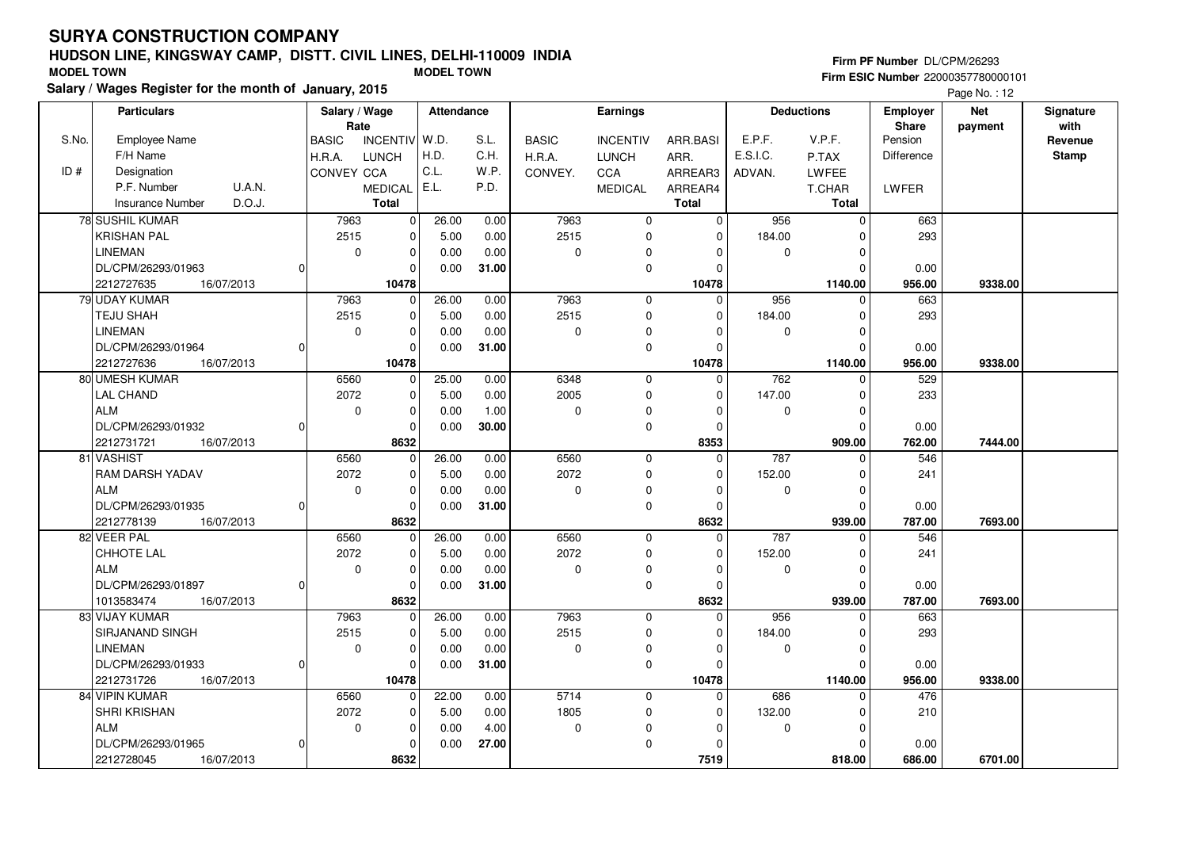DL/CPM/26293/01933

DL/CPM/26293/01965

2212731726 **10478**

84 VIPIN KUMARSHRI KRISHAN

2212728045 **8632**

ALM

16/07/2013

16/07/2013

0

 $\Omega$ 

#### **HUDSON LINE, KINGSWAY CAMP, DISTT. CIVIL LINES, DELHI-110009 INDIAFirm ESIC Number** 22000357780000101 **MODEL TOWN MODEL TOWN**

 $\overline{0}$ 10478 0.00

22.00 5.00 0.000.00

**31.00**

 0.00 0.00 4.00**27.00**

 $\overline{0}$ 

 $\overline{0}$  $\overline{0}$  $\overline{0}$ 8632

 6560 2072 $\overline{0}$ 

**Salary / Wages Register for the month ofJanuary, 2015**

|       | liary / wages Register for the month of January, 2015 |  |                   |                         |       |            |                 |                 | Page No.: 12 |                   |              |                          |                       |                   |
|-------|-------------------------------------------------------|--|-------------------|-------------------------|-------|------------|-----------------|-----------------|--------------|-------------------|--------------|--------------------------|-----------------------|-------------------|
|       | <b>Particulars</b>                                    |  |                   | Salary / Wage<br>Rate   |       | Attendance | <b>Earnings</b> |                 |              | <b>Deductions</b> |              | Employer<br><b>Share</b> | <b>Net</b><br>payment | Signature<br>with |
| S.No. | <b>Employee Name</b>                                  |  | <b>BASIC</b>      | INCENTIV W.D.           |       | S.L.       | <b>BASIC</b>    | <b>INCENTIV</b> | ARR.BASI     | E.P.F.            | V.P.F.       | Pension                  |                       | Revenue           |
|       | F/H Name                                              |  | H.R.A.            | <b>LUNCH</b>            | H.D.  | C.H.       | H.R.A.          | <b>LUNCH</b>    | ARR.         | E.S.I.C.          | P.TAX        | Difference               |                       | <b>Stamp</b>      |
| ID#   | Designation                                           |  | <b>CONVEY CCA</b> |                         | C.L.  | W.P.       | CONVEY.         | <b>CCA</b>      | ARREAR3      | ADVAN.            | LWFEE        |                          |                       |                   |
|       | <b>U.A.N.</b><br>P.F. Number                          |  |                   | MEDICAL E.L.            |       | P.D.       |                 | <b>MEDICAL</b>  | ARREAR4      |                   | T.CHAR       | LWFER                    |                       |                   |
|       | D.O.J.<br><b>Insurance Number</b>                     |  |                   | <b>Total</b>            |       |            |                 |                 | <b>Total</b> |                   | <b>Total</b> |                          |                       |                   |
|       | 78 SUSHIL KUMAR                                       |  | 7963              | $\Omega$                | 26.00 | 0.00       | 7963            | $\mathbf 0$     | $\Omega$     | 956               | $\Omega$     | 663                      |                       |                   |
|       | <b>KRISHAN PAL</b>                                    |  | 2515              | $\mathbf 0$             | 5.00  | 0.00       | 2515            | $\Omega$        | $\Omega$     | 184.00            |              | 293                      |                       |                   |
|       | <b>LINEMAN</b>                                        |  |                   | $\Omega$<br>0           | 0.00  | 0.00       | $\Omega$        | $\Omega$        |              | $\Omega$          |              |                          |                       |                   |
|       | DL/CPM/26293/01963                                    |  |                   | $\Omega$                | 0.00  | 31.00      |                 | 0               |              |                   |              | 0.00                     |                       |                   |
|       | 2212727635<br>16/07/2013                              |  |                   | 10478                   |       |            |                 |                 | 10478        |                   | 1140.00      | 956.00                   | 9338.00               |                   |
|       | 79 UDAY KUMAR                                         |  | 7963              | $\Omega$                | 26.00 | 0.00       | 7963            | 0               | $\Omega$     | 956               | 0            | 663                      |                       |                   |
|       | <b>TEJU SHAH</b>                                      |  | 2515              | $\Omega$                | 5.00  | 0.00       | 2515            | 0               | $\Omega$     | 184.00            |              | 293                      |                       |                   |
|       | <b>LINEMAN</b>                                        |  |                   | $\mathbf 0$<br>$\Omega$ | 0.00  | 0.00       | $\Omega$        | 0               |              | $\Omega$          |              |                          |                       |                   |
|       | DL/CPM/26293/01964                                    |  |                   | $\Omega$                | 0.00  | 31.00      |                 | 0               | O            |                   |              | 0.00                     |                       |                   |
|       | 2212727636<br>16/07/2013                              |  |                   | 10478                   |       |            |                 |                 | 10478        |                   | 1140.00      | 956.00                   | 9338.00               |                   |
|       | 80 UMESH KUMAR                                        |  | 6560              | $\mathbf 0$             | 25.00 | 0.00       | 6348            | 0               | $\mathbf 0$  | 762               | $\Omega$     | 529                      |                       |                   |
|       | <b>LAL CHAND</b>                                      |  | 2072              | $\mathbf 0$             | 5.00  | 0.00       | 2005            | 0               | $\Omega$     | 147.00            |              | 233                      |                       |                   |
|       | <b>ALM</b>                                            |  |                   | $\Omega$<br>0           | 0.00  | 1.00       | $\Omega$        | $\Omega$        |              | $\Omega$          |              |                          |                       |                   |
|       | DL/CPM/26293/01932                                    |  |                   | 0                       | 0.00  | 30.00      |                 | $\Omega$        |              |                   | O            | 0.00                     |                       |                   |
|       | 2212731721<br>16/07/2013                              |  |                   | 8632                    |       |            |                 |                 | 8353         |                   | 909.00       | 762.00                   | 7444.00               |                   |
|       | 81 VASHIST                                            |  | 6560              | $\Omega$                | 26.00 | 0.00       | 6560            | 0               | $\mathbf 0$  | 787               | n            | 546                      |                       |                   |
|       | <b>RAM DARSH YADAV</b>                                |  | 2072              | $\Omega$                | 5.00  | 0.00       | 2072            | 0               | $\Omega$     | 152.00            |              | 241                      |                       |                   |
|       | <b>ALM</b>                                            |  |                   | $\Omega$<br>$\mathbf 0$ | 0.00  | 0.00       | $\Omega$        | 0               | $\Omega$     | $\Omega$          |              |                          |                       |                   |
|       | DL/CPM/26293/01935                                    |  |                   | $\Omega$                | 0.00  | 31.00      |                 | 0               | $\Omega$     |                   | 0            | 0.00                     |                       |                   |
|       | 2212778139<br>16/07/2013                              |  |                   | 8632                    |       |            |                 |                 | 8632         |                   | 939.00       | 787.00                   | 7693.00               |                   |
|       | 82 VEER PAL                                           |  | 6560              | $\Omega$                | 26.00 | 0.00       | 6560            | 0               | $\Omega$     | 787               | <sup>0</sup> | 546                      |                       |                   |
|       | CHHOTE LAL                                            |  | 2072              | $\mathbf 0$             | 5.00  | 0.00       | 2072            | 0               | $\Omega$     | 152.00            |              | 241                      |                       |                   |
|       | <b>ALM</b>                                            |  |                   | 0<br>0                  | 0.00  | 0.00       | $\Omega$        | $\Omega$        |              | $\Omega$          |              |                          |                       |                   |
|       | DL/CPM/26293/01897                                    |  |                   | $\mathbf 0$             | 0.00  | 31.00      |                 | 0               | O            |                   | $\Omega$     | 0.00                     |                       |                   |
|       | 1013583474<br>16/07/2013                              |  |                   | 8632                    |       |            |                 |                 | 8632         |                   | 939.00       | 787.00                   | 7693.00               |                   |
|       | 83 VIJAY KUMAR                                        |  | 7963              | $\Omega$                | 26.00 | 0.00       | 7963            | 0               | $\Omega$     | 956               | <sup>n</sup> | 663                      |                       |                   |
|       | SIRJANAND SINGH                                       |  | 2515              | $\mathbf 0$             | 5.00  | 0.00       | 2515            | $\Omega$        | O            | 184.00            |              | 293                      |                       |                   |
|       | LINEMAN                                               |  | $\Omega$          | $\mathbf{0}$            | 0.00  | 0.00       | $\Omega$        | $\Omega$        | 0            | $\Omega$          | $\mathbf{0}$ |                          |                       |                   |

 $\overline{0}$   **10478** $\overline{0}$ 

 $\overline{0}$  $\overline{0}$  $\overline{0}$  **7519**  $\overline{0}$ 

 $\overline{0}$ 

 0 $\overline{0}$ 818.00

686 0

 132.00 $\overline{0}$ 

 **1140.00 9338.00**

476

210

 0.00686.00

 **818.00 6701.00**

 0.00956.00

 $\overline{0}$ 

 $\overline{0}$  $\overline{0}$  $\overline{0}$  $\overline{0}$ 

16/07/2013 **956.00**

 5714 1805 $\overline{0}$ 

16/07/2013 **686.00**